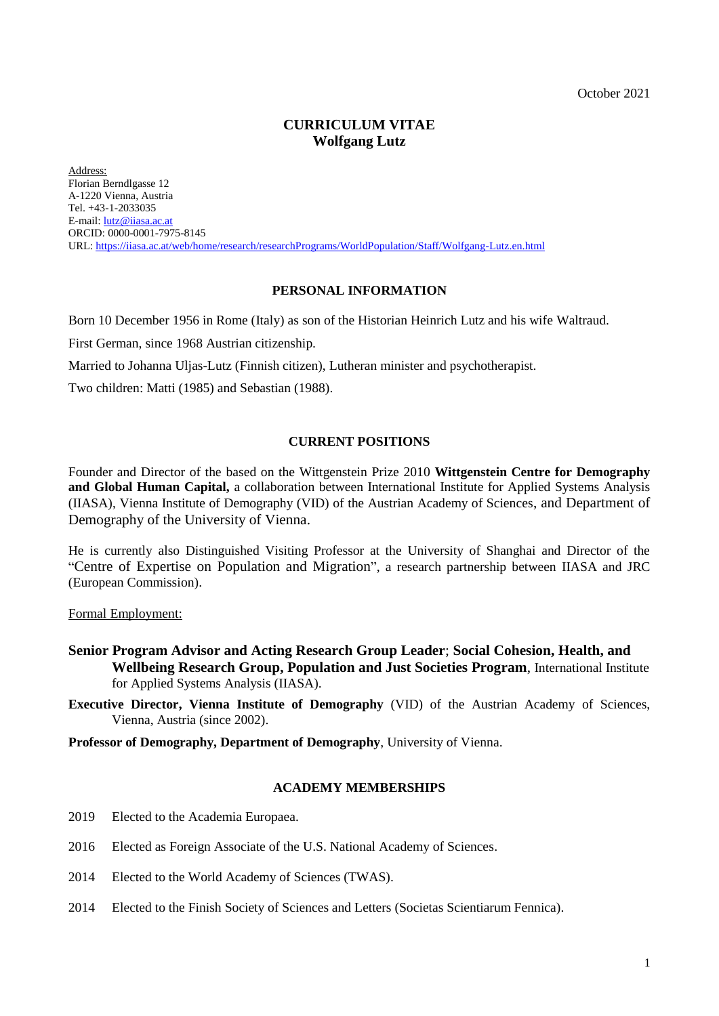October 2021

# **CURRICULUM VITAE Wolfgang Lutz**

Address: Florian Berndlgasse 12 A-1220 Vienna, Austria Tel. +43-1-2033035 E-mail: [lutz@iiasa.ac.at](mailto:lutz@iiasa.ac.at) ORCID: 0000-0001-7975-8145 URL: <https://iiasa.ac.at/web/home/research/researchPrograms/WorldPopulation/Staff/Wolfgang-Lutz.en.html>

# **PERSONAL INFORMATION**

Born 10 December 1956 in Rome (Italy) as son of the Historian Heinrich Lutz and his wife Waltraud.

First German, since 1968 Austrian citizenship.

Married to Johanna Uljas-Lutz (Finnish citizen), Lutheran minister and psychotherapist.

Two children: Matti (1985) and Sebastian (1988).

# **CURRENT POSITIONS**

Founder and Director of the based on the Wittgenstein Prize 2010 **Wittgenstein Centre for Demography and Global Human Capital,** a collaboration between International Institute for Applied Systems Analysis (IIASA), Vienna Institute of Demography (VID) of the Austrian Academy of Sciences, and Department of Demography of the University of Vienna.

He is currently also Distinguished Visiting Professor at the University of Shanghai and Director of the "Centre of Expertise on Population and Migration", a research partnership between IIASA and JRC (European Commission).

Formal Employment:

- **Senior Program Advisor and Acting Research Group Leader**; **Social Cohesion, Health, and Wellbeing Research Group, Population and Just Societies Program**, International Institute for Applied Systems Analysis (IIASA).
- **Executive Director, Vienna Institute of Demography** (VID) of the Austrian Academy of Sciences, Vienna, Austria (since 2002).

**Professor of Demography, Department of Demography**, University of Vienna.

# **ACADEMY MEMBERSHIPS**

- 2019 Elected to the Academia Europaea.
- 2016 Elected as Foreign Associate of the U.S. National Academy of Sciences.
- 2014 Elected to the World Academy of Sciences (TWAS).
- 2014 Elected to the Finish Society of Sciences and Letters (Societas Scientiarum Fennica).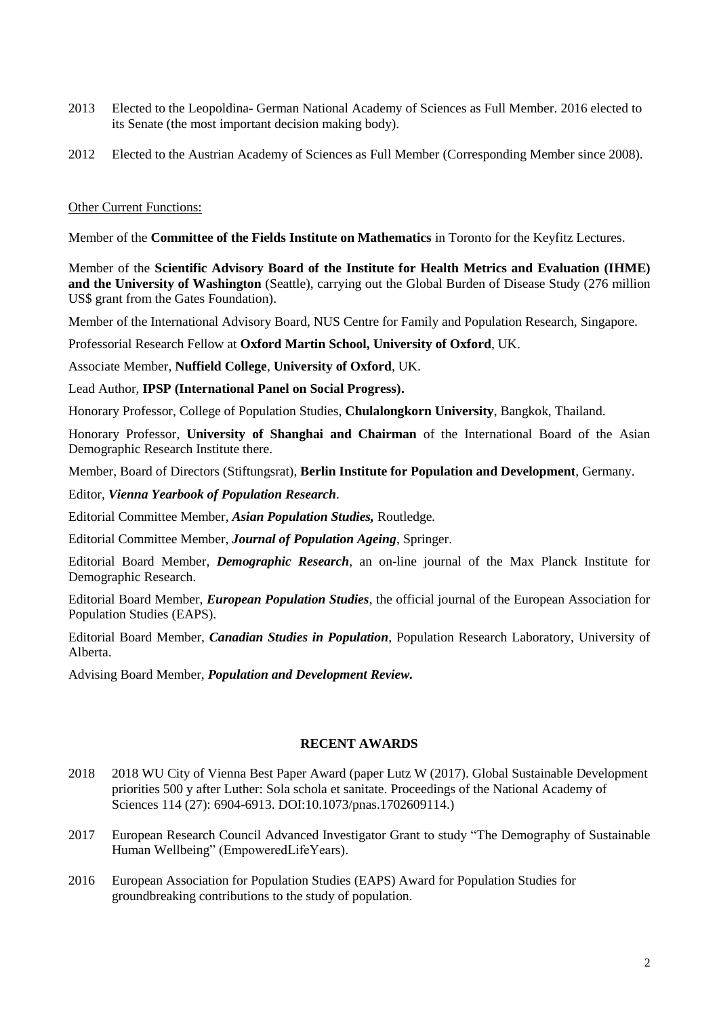- 2013 Elected to the Leopoldina- German National Academy of Sciences as Full Member. 2016 elected to its Senate (the most important decision making body).
- 2012 Elected to the Austrian Academy of Sciences as Full Member (Corresponding Member since 2008).

# Other Current Functions:

Member of the **Committee of the Fields Institute on Mathematics** in Toronto for the Keyfitz Lectures.

Member of the **Scientific Advisory Board of the Institute for Health Metrics and Evaluation (IHME) and the University of Washington** (Seattle), carrying out the Global Burden of Disease Study (276 million US\$ grant from the Gates Foundation).

Member of the International Advisory Board, NUS Centre for Family and Population Research, Singapore.

Professorial Research Fellow at **Oxford Martin School, University of Oxford**, UK.

Associate Member, **Nuffield College**, **University of Oxford**, UK.

Lead Author, **IPSP (International Panel on Social Progress).**

Honorary Professor, College of Population Studies, **Chulalongkorn University**, Bangkok, Thailand.

Honorary Professor, **University of Shanghai and Chairman** of the International Board of the Asian Demographic Research Institute there.

Member, Board of Directors (Stiftungsrat), **Berlin Institute for Population and Development**, Germany.

Editor, *Vienna Yearbook of Population Research*.

Editorial Committee Member, *Asian Population Studies,* Routledge*.*

Editorial Committee Member, *Journal of Population Ageing*, Springer.

Editorial Board Member, *Demographic Research*, an on-line journal of the Max Planck Institute for Demographic Research.

Editorial Board Member, *European Population Studies*, the official journal of the European Association for Population Studies (EAPS).

Editorial Board Member, *Canadian Studies in Population*, Population Research Laboratory, University of Alberta.

Advising Board Member, *Population and Development Review.*

# **RECENT AWARDS**

- 2018 2018 WU City of Vienna Best Paper Award (paper Lutz W (2017). Global Sustainable Development priorities 500 y after Luther: Sola schola et sanitate. Proceedings of the National Academy of Sciences 114 (27): 6904-6913. DOI:10.1073/pnas.1702609114.)
- 2017 European Research Council Advanced Investigator Grant to study "The Demography of Sustainable Human Wellbeing" (EmpoweredLifeYears).
- 2016 European Association for Population Studies (EAPS) Award for Population Studies for groundbreaking contributions to the study of population.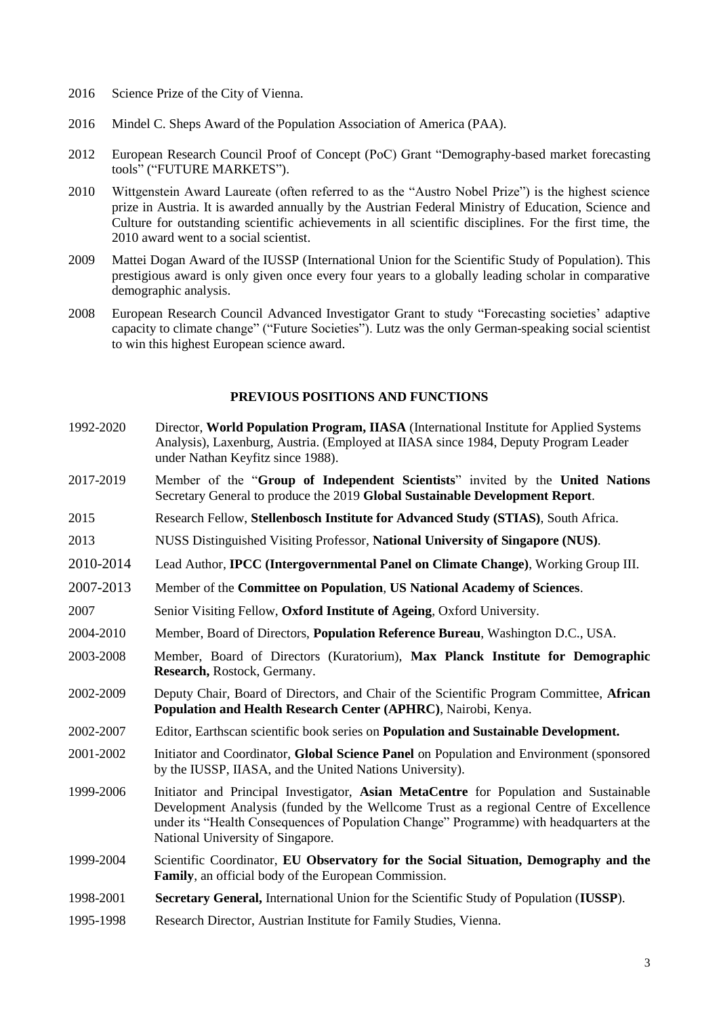- 2016 Science Prize of the City of Vienna.
- 2016 Mindel C. Sheps Award of the Population Association of America (PAA).
- 2012 European Research Council Proof of Concept (PoC) Grant "Demography-based market forecasting tools" ("FUTURE MARKETS").
- 2010 Wittgenstein Award Laureate (often referred to as the "Austro Nobel Prize") is the highest science prize in Austria. It is awarded annually by the Austrian Federal Ministry of Education, Science and Culture for outstanding scientific achievements in all scientific disciplines. For the first time, the 2010 award went to a social scientist.
- 2009 Mattei Dogan Award of the IUSSP (International Union for the Scientific Study of Population). This prestigious award is only given once every four years to a globally leading scholar in comparative demographic analysis.
- 2008 European Research Council Advanced Investigator Grant to study "Forecasting societies' adaptive capacity to climate change" ("Future Societies"). Lutz was the only German-speaking social scientist to win this highest European science award.

# **PREVIOUS POSITIONS AND FUNCTIONS**

- 1992-2020 Director, **World Population Program, IIASA** (International Institute for Applied Systems Analysis), Laxenburg, Austria. (Employed at IIASA since 1984, Deputy Program Leader under Nathan Keyfitz since 1988).
- 2017-2019 Member of the "**Group of Independent Scientists**" invited by the **United Nations** Secretary General to produce the 2019 **Global Sustainable Development Report**.
- 2015 Research Fellow, **Stellenbosch Institute for Advanced Study (STIAS)**, South Africa.
- 2013 NUSS Distinguished Visiting Professor, **National University of Singapore (NUS)**.
- 2010-2014 Lead Author, **IPCC (Intergovernmental Panel on Climate Change)**, Working Group III.
- 2007-2013 Member of the **Committee on Population**, **US National Academy of Sciences**.
- 2007 Senior Visiting Fellow, **Oxford Institute of Ageing**, Oxford University.
- 2004-2010 Member, Board of Directors, **Population Reference Bureau**, Washington D.C., USA.
- 2003-2008 Member, Board of Directors (Kuratorium), **Max Planck Institute for Demographic Research,** Rostock, Germany.
- 2002-2009 Deputy Chair, Board of Directors, and Chair of the Scientific Program Committee, **African Population and Health Research Center (APHRC)**, Nairobi, Kenya.
- 2002-2007 Editor, Earthscan scientific book series on **Population and Sustainable Development.**
- 2001-2002 Initiator and Coordinator, **Global Science Panel** on Population and Environment (sponsored by the IUSSP, IIASA, and the United Nations University).
- 1999-2006 Initiator and Principal Investigator, **Asian MetaCentre** for Population and Sustainable Development Analysis (funded by the Wellcome Trust as a regional Centre of Excellence under its "Health Consequences of Population Change" Programme) with headquarters at the National University of Singapore.
- 1999-2004 Scientific Coordinator, **EU Observatory for the Social Situation, Demography and the Family**, an official body of the European Commission.
- 1998-2001 **Secretary General,** International Union for the Scientific Study of Population (**IUSSP**).
- 1995-1998 Research Director, Austrian Institute for Family Studies, Vienna.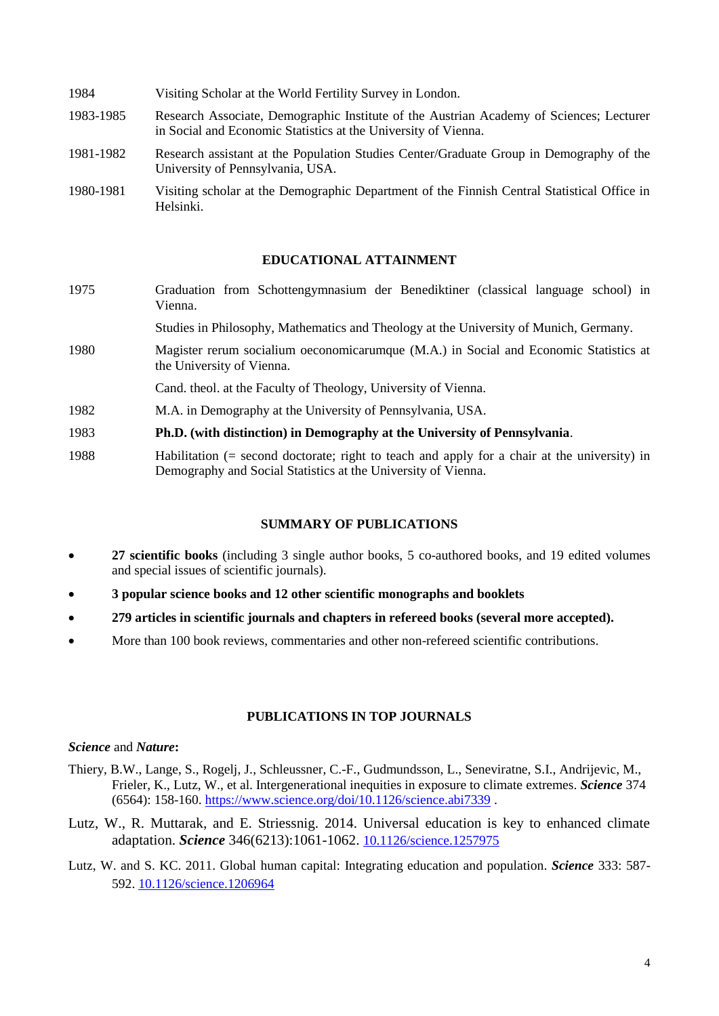| 1984      | Visiting Scholar at the World Fertility Survey in London.                                                                                                 |
|-----------|-----------------------------------------------------------------------------------------------------------------------------------------------------------|
| 1983-1985 | Research Associate, Demographic Institute of the Austrian Academy of Sciences; Lecturer<br>in Social and Economic Statistics at the University of Vienna. |
| 1981-1982 | Research assistant at the Population Studies Center/Graduate Group in Demography of the<br>University of Pennsylvania, USA.                               |
| 1980-1981 | Visiting scholar at the Demographic Department of the Finnish Central Statistical Office in<br>Helsinki.                                                  |

# **EDUCATIONAL ATTAINMENT**

1975 Graduation from Schottengymnasium der Benediktiner (classical language school) in Vienna.

Studies in Philosophy, Mathematics and Theology at the University of Munich, Germany.

- 1980 Magister rerum socialium oeconomicarumque (M.A.) in Social and Economic Statistics at the University of Vienna.
- Cand. theol. at the Faculty of Theology, University of Vienna.
- 1982 M.A. in Demography at the University of Pennsylvania, USA.
- 1983 **Ph.D. (with distinction) in Demography at the University of Pennsylvania**.
- 1988 Habilitation (= second doctorate; right to teach and apply for a chair at the university) in Demography and Social Statistics at the University of Vienna.

# **SUMMARY OF PUBLICATIONS**

- **27 scientific books** (including 3 single author books, 5 co-authored books, and 19 edited volumes and special issues of scientific journals).
- **3 popular science books and 12 other scientific monographs and booklets**
- **279 articles in scientific journals and chapters in refereed books (several more accepted).**
- More than 100 book reviews, commentaries and other non-refereed scientific contributions.

# **PUBLICATIONS IN TOP JOURNALS**

# *Science* and *Nature***:**

- Thiery, B.W., Lange, S., Rogelj, J., Schleussner, C.-F., Gudmundsson, L., Seneviratne, S.I., Andrijevic, M., Frieler, K., Lutz, W., et al. Intergenerational inequities in exposure to climate extremes. *Science* 374 (6564): 158-160.<https://www.science.org/doi/10.1126/science.abi7339> .
- Lutz, W., R. Muttarak, and E. Striessnig. 2014. Universal education is key to enhanced climate adaptation. *Science* 346(6213):1061-1062. [10.1126/science.1257975](https://doi.org/10.1126/science.1257975)
- Lutz, W. and S. KC. 2011. Global human capital: Integrating education and population. *Science* 333: 587- 592. [10.1126/science.1206964](https://doi.org/10.1126/science.1206964)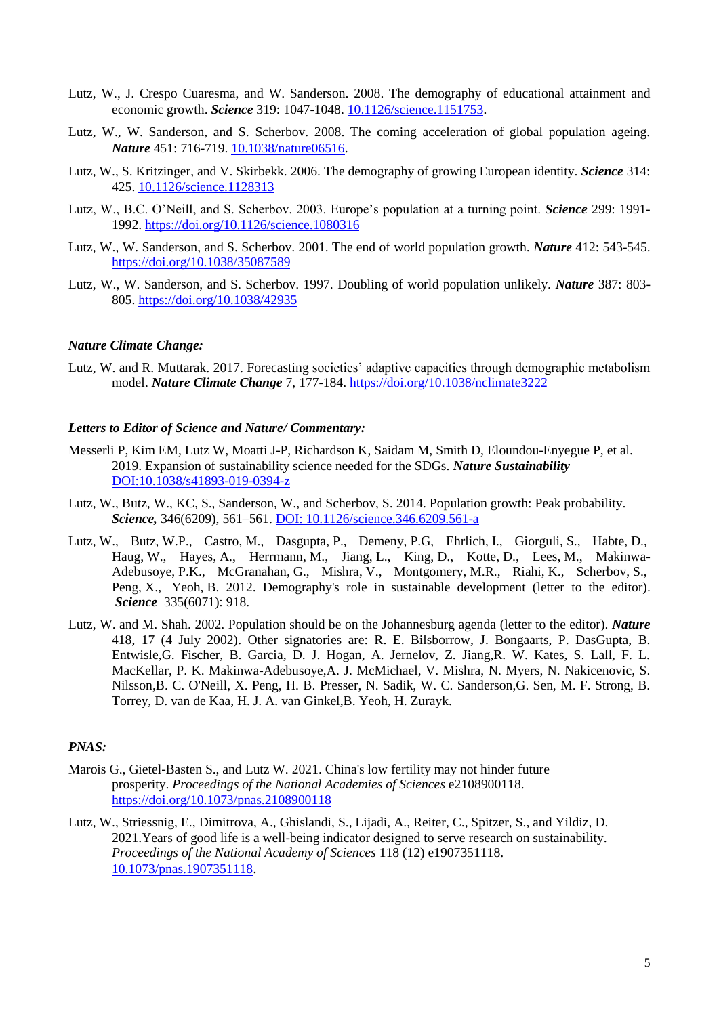- Lutz, W., J. Crespo Cuaresma, and W. Sanderson. 2008. The demography of educational attainment and economic growth. *Science* 319: 1047-1048. [10.1126/science.1151753](https://doi.org/10.1126/science.1151753).
- Lutz, W., W. Sanderson, and S. Scherbov. 2008. The coming acceleration of global population ageing. *Nature* 451: 716-719. [10.1038/nature06516](https://doi.org/10.1038/nature06516).
- Lutz, W., S. Kritzinger, and V. Skirbekk. 2006. The demography of growing European identity. *Science* 314: 425. [10.1126/science.1128313](https://doi.org/10.1126/science.1128313)
- Lutz, W., B.C. O'Neill, and S. Scherbov. 2003. Europe's population at a turning point. *Science* 299: 1991- 1992. <https://doi.org/10.1126/science.1080316>
- Lutz, W., W. Sanderson, and S. Scherbov. 2001. The end of world population growth. *Nature* 412: 543-545. <https://doi.org/10.1038/35087589>
- Lutz, W., W. Sanderson, and S. Scherbov. 1997. Doubling of world population unlikely. *Nature* 387: 803- 805. <https://doi.org/10.1038/42935>

## *Nature Climate Change:*

Lutz, W. and R. Muttarak. 2017. Forecasting societies' adaptive capacities through demographic metabolism model. *Nature Climate Change* 7, 177-184. <https://doi.org/10.1038/nclimate3222>

# *Letters to Editor of Science and Nature/ Commentary:*

- Messerli P, Kim EM, Lutz W, Moatti J-P, Richardson K, Saidam M, Smith D, Eloundou-Enyegue P, et al. 2019. Expansion of sustainability science needed for the SDGs. *Nature Sustainability* [DOI:10.1038/s41893-019-0394-z](../../AppData/Local/Temp/Messerli%20P,%20Kim%20EM,%20Lutz%20W,%20Moatti%20J-P,%20Richardson%20K,%20Saidam%20M,%20Smith%20D,%20Eloundou-Enyegue%20P,%20et%20al.%20(2019).%20Expansion%20of%20sustainability%20science%20needed%20for%20the%20SDGs.%20Nature%20Sustainability%20DOI:10.1038/s41893-019-0394-z.)
- Lutz, W., Butz, W., KC, S., Sanderson, W., and Scherbov, S. 2014. Population growth: Peak probability. *Science,* 346(6209), 561–561. [DOI: 10.1126/science.346.6209.561-a](doi:%2010.1126/science.346.6209.561-a)
- Lutz, W., Butz, W.P., Castro, M., Dasgupta, P., Demeny, P.G, Ehrlich, I., Giorguli, S., Habte, D., Haug, W., Hayes, A., Herrmann, M., Jiang, L., King, D., Kotte, D., Lees, M., Makinwa-Adebusoye, P.K., McGranahan, G., Mishra, V., Montgomery, M.R., Riahi, K., Scherbov, S., Peng, X., Yeoh, B. 2012. Demography's role in sustainable development (letter to the editor). *Science* 335(6071): 918.
- Lutz, W. and M. Shah. 2002. Population should be on the Johannesburg agenda (letter to the editor). *Nature* 418, 17 (4 July 2002). Other signatories are: R. E. Bilsborrow, J. Bongaarts, P. DasGupta, B. Entwisle,G. Fischer, B. Garcia, D. J. Hogan, A. Jernelov, Z. Jiang,R. W. Kates, S. Lall, F. L. MacKellar, P. K. Makinwa-Adebusoye,A. J. McMichael, V. Mishra, N. Myers, N. Nakicenovic, S. Nilsson,B. C. O'Neill, X. Peng, H. B. Presser, N. Sadik, W. C. Sanderson,G. Sen, M. F. Strong, B. Torrey, D. van de Kaa, H. J. A. van Ginkel,B. Yeoh, H. Zurayk.

# *PNAS:*

- Marois G., Gietel-Basten S., and Lutz W. 2021. China's low fertility may not hinder future prosperity. *Proceedings of the National Academies of Sciences* e2108900118. <https://doi.org/10.1073/pnas.2108900118>
- Lutz, W., Striessnig, E., Dimitrova, A., Ghislandi, S., Lijadi, A., Reiter, C., Spitzer, S., and Yildiz, D. 2021.Years of good life is a well-being indicator designed to serve research on sustainability. *Proceedings of the National Academy of Sciences* 118 (12) e1907351118. [10.1073/pnas.1907351118](https://doi.org/10.1073/pnas.1907351118).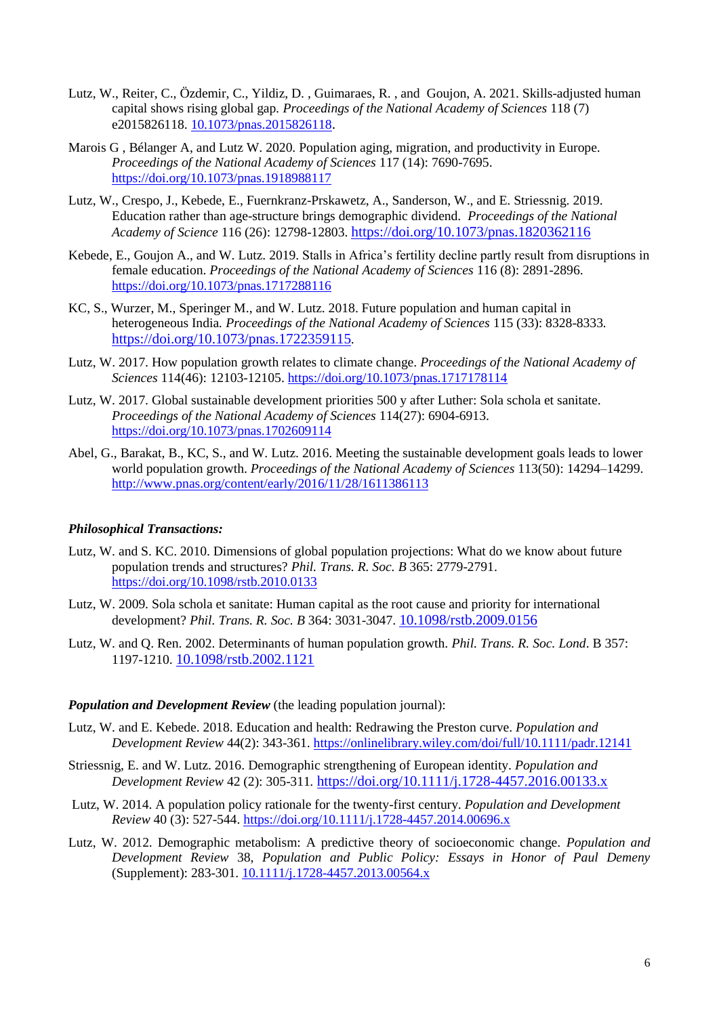- Lutz, W., Reiter, C., Özdemir, C., Yildiz, D. , Guimaraes, R. , and Goujon, A. 2021. Skills-adjusted human capital shows rising global gap*. Proceedings of the National Academy of Sciences* 118 (7) e2015826118. [10.1073/pnas.2015826118](https://doi.org/10.1073/pnas.2015826118).
- Marois G , Bélanger A, and Lutz W. 2020. Population aging, migration, and productivity in Europe. *Proceedings of the National Academy of Sciences* 117 (14): 7690-7695. <https://doi.org/10.1073/pnas.1918988117>
- Lutz, W., Crespo, J., Kebede, E., Fuernkranz-Prskawetz, A., Sanderson, W., and E. Striessnig. 2019. Education rather than age-structure brings demographic dividend. *Proceedings of the National Academy of Science* 116 (26): 12798-12803. <https://doi.org/10.1073/pnas.1820362116>
- Kebede, E., Goujon A., and W. Lutz. 2019. Stalls in Africa's fertility decline partly result from disruptions in female education. *Proceedings of the National Academy of Sciences* 116 (8): 2891-2896. <https://doi.org/10.1073/pnas.1717288116>
- KC, S., Wurzer, M., Speringer M., and W. Lutz. 2018. Future population and human capital in heterogeneous India*. Proceedings of the National Academy of Sciences* 115 (33): 8328-8333*.*  <https://doi.org/10.1073/pnas.1722359115>*.*
- Lutz, W. 2017. How population growth relates to climate change. *Proceedings of the National Academy of Sciences* 114(46): 12103-12105.<https://doi.org/10.1073/pnas.1717178114>
- Lutz, W. 2017. Global sustainable development priorities 500 y after Luther: Sola schola et sanitate. *Proceedings of the National Academy of Sciences* 114(27): 6904-6913. <https://doi.org/10.1073/pnas.1702609114>
- Abel, G., Barakat, B., KC, S., and W. Lutz. 2016. Meeting the sustainable development goals leads to lower world population growth. *Proceedings of the National Academy of Sciences* 113(50): 14294–14299. <http://www.pnas.org/content/early/2016/11/28/1611386113>

# *Philosophical Transactions:*

- Lutz, W. and S. KC. 2010. Dimensions of global population projections: What do we know about future population trends and structures? *Phil. Trans. R. Soc. B* 365: 2779-2791. <https://doi.org/10.1098/rstb.2010.0133>
- Lutz, W. 2009. Sola schola et sanitate: Human capital as the root cause and priority for international development? *Phil. Trans. R. Soc. B* 364: 3031-3047. [10.1098/rstb.2009.0156](https://dx.doi.org/10.1098%2Frstb.2009.0156)
- Lutz, W. and Q. Ren. 2002. Determinants of human population growth. *Phil. Trans. R. Soc. Lond*. B 357: 1197-1210. [10.1098/rstb.2002.1121](https://dx.doi.org/10.1098%2Frstb.2002.1121)

# *Population and Development Review* (the leading population journal):

- Lutz, W. and E. Kebede. 2018. Education and health: Redrawing the Preston curve. *Population and Development Review* 44(2): 343-361.<https://onlinelibrary.wiley.com/doi/full/10.1111/padr.12141>
- Striessnig, E. and W. Lutz. 2016. Demographic strengthening of European identity. *Population and Development Review* 42 (2): 305-311*.* <https://doi.org/10.1111/j.1728-4457.2016.00133.x>
- Lutz, W. 2014. A population policy rationale for the twenty-first century. *Population and Development Review* 40 (3): 527-544. <https://doi.org/10.1111/j.1728-4457.2014.00696.x>
- Lutz, W. 2012. Demographic metabolism: A predictive theory of socioeconomic change. *Population and Development Review* 38, *Population and Public Policy: Essays in Honor of Paul Demeny* (Supplement): 283-301. <10.1111/j.1728-4457.2013.00564.x>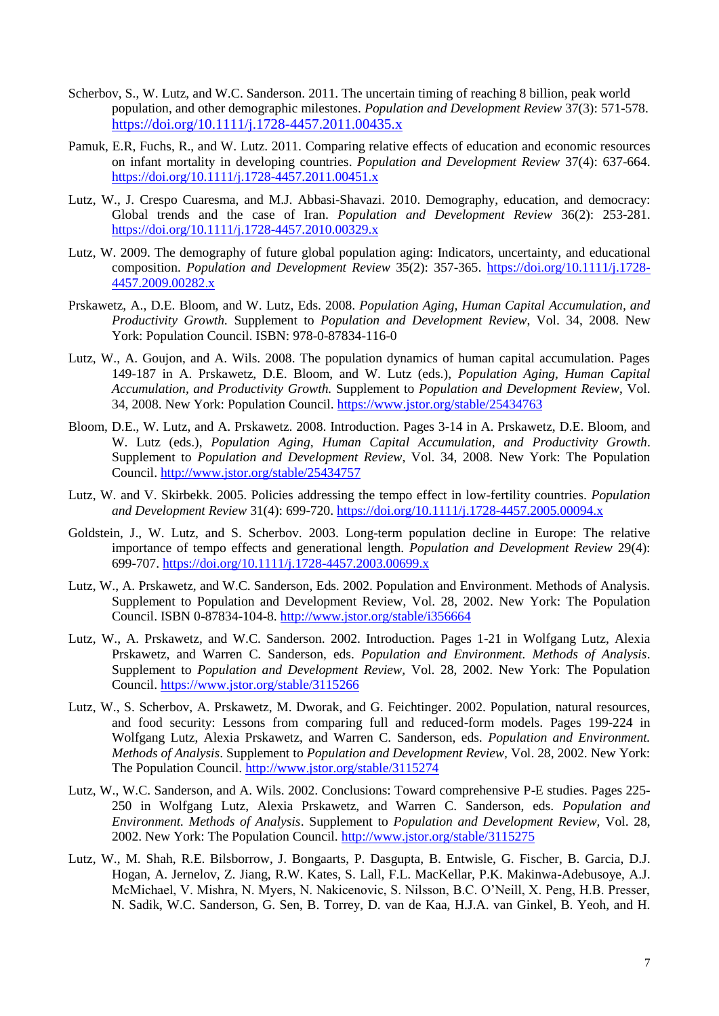- Scherbov, S., W. Lutz, and W.C. Sanderson. 2011. The uncertain timing of reaching 8 billion, peak world population, and other demographic milestones. *Population and Development Review* 37(3): 571-578. <https://doi.org/10.1111/j.1728-4457.2011.00435.x>
- Pamuk, E.R, Fuchs, R., and W. Lutz. 2011. Comparing relative effects of education and economic resources on infant mortality in developing countries. *Population and Development Review* 37(4): 637-664. <https://doi.org/10.1111/j.1728-4457.2011.00451.x>
- Lutz, W., J. Crespo Cuaresma, and M.J. Abbasi-Shavazi. 2010. Demography, education, and democracy: Global trends and the case of Iran. *Population and Development Review* 36(2): 253-281. <https://doi.org/10.1111/j.1728-4457.2010.00329.x>
- Lutz, W. 2009. The demography of future global population aging: Indicators, uncertainty, and educational composition. *Population and Development Review* 35(2): 357-365. [https://doi.org/10.1111/j.1728-](https://doi.org/10.1111/j.1728-4457.2009.00282.x) [4457.2009.00282.x](https://doi.org/10.1111/j.1728-4457.2009.00282.x)
- Prskawetz, A., D.E. Bloom, and W. Lutz, Eds. 2008. *Population Aging, Human Capital Accumulation, and Productivity Growth.* Supplement to *Population and Development Review*, Vol. 34, 2008. New York: Population Council. ISBN: 978-0-87834-116-0
- Lutz, W., A. Goujon, and A. Wils. 2008. The population dynamics of human capital accumulation. Pages 149-187 in A. Prskawetz, D.E. Bloom, and W. Lutz (eds.), *Population Aging, Human Capital Accumulation, and Productivity Growth.* Supplement to *Population and Development Review*, Vol. 34, 2008. New York: Population Council. <https://www.jstor.org/stable/25434763>
- Bloom, D.E., W. Lutz, and A. Prskawetz. 2008. Introduction. Pages 3-14 in A. Prskawetz, D.E. Bloom, and W. Lutz (eds.), *Population Aging, Human Capital Accumulation, and Productivity Growth*. Supplement to *Population and Development Review*, Vol. 34, 2008. New York: The Population Council. <http://www.jstor.org/stable/25434757>
- Lutz, W. and V. Skirbekk. 2005. Policies addressing the tempo effect in low-fertility countries. *Population and Development Review* 31(4): 699-720. <https://doi.org/10.1111/j.1728-4457.2005.00094.x>
- Goldstein, J., W. Lutz, and S. Scherbov. 2003. Long-term population decline in Europe: The relative importance of tempo effects and generational length. *Population and Development Review* 29(4): 699-707. <https://doi.org/10.1111/j.1728-4457.2003.00699.x>
- Lutz, W., A. Prskawetz, and W.C. Sanderson, Eds. 2002. Population and Environment. Methods of Analysis. Supplement to Population and Development Review, Vol. 28, 2002. New York: The Population Council. ISBN 0-87834-104-8.<http://www.jstor.org/stable/i356664>
- Lutz, W., A. Prskawetz, and W.C. Sanderson. 2002. Introduction. Pages 1-21 in Wolfgang Lutz, Alexia Prskawetz, and Warren C. Sanderson, eds. *Population and Environment. Methods of Analysis*. Supplement to *Population and Development Review,* Vol. 28, 2002. New York: The Population Council.<https://www.jstor.org/stable/3115266>
- Lutz, W., S. Scherbov, A. Prskawetz, M. Dworak, and G. Feichtinger. 2002. Population, natural resources, and food security: Lessons from comparing full and reduced-form models. Pages 199-224 in Wolfgang Lutz, Alexia Prskawetz, and Warren C. Sanderson, eds. *Population and Environment. Methods of Analysis*. Supplement to *Population and Development Review,* Vol. 28, 2002. New York: The Population Council. <http://www.jstor.org/stable/3115274>
- Lutz, W., W.C. Sanderson, and A. Wils. 2002. Conclusions: Toward comprehensive P-E studies. Pages 225- 250 in Wolfgang Lutz, Alexia Prskawetz, and Warren C. Sanderson, eds. *Population and Environment. Methods of Analysis*. Supplement to *Population and Development Review,* Vol. 28, 2002. New York: The Population Council. <http://www.jstor.org/stable/3115275>
- Lutz, W., M. Shah, R.E. Bilsborrow, J. Bongaarts, P. Dasgupta, B. Entwisle, G. Fischer, B. Garcia, D.J. Hogan, A. Jernelov, Z. Jiang, R.W. Kates, S. Lall, F.L. MacKellar, P.K. Makinwa-Adebusoye, A.J. McMichael, V. Mishra, N. Myers, N. Nakicenovic, S. Nilsson, B.C. O'Neill, X. Peng, H.B. Presser, N. Sadik, W.C. Sanderson, G. Sen, B. Torrey, D. van de Kaa, H.J.A. van Ginkel, B. Yeoh, and H.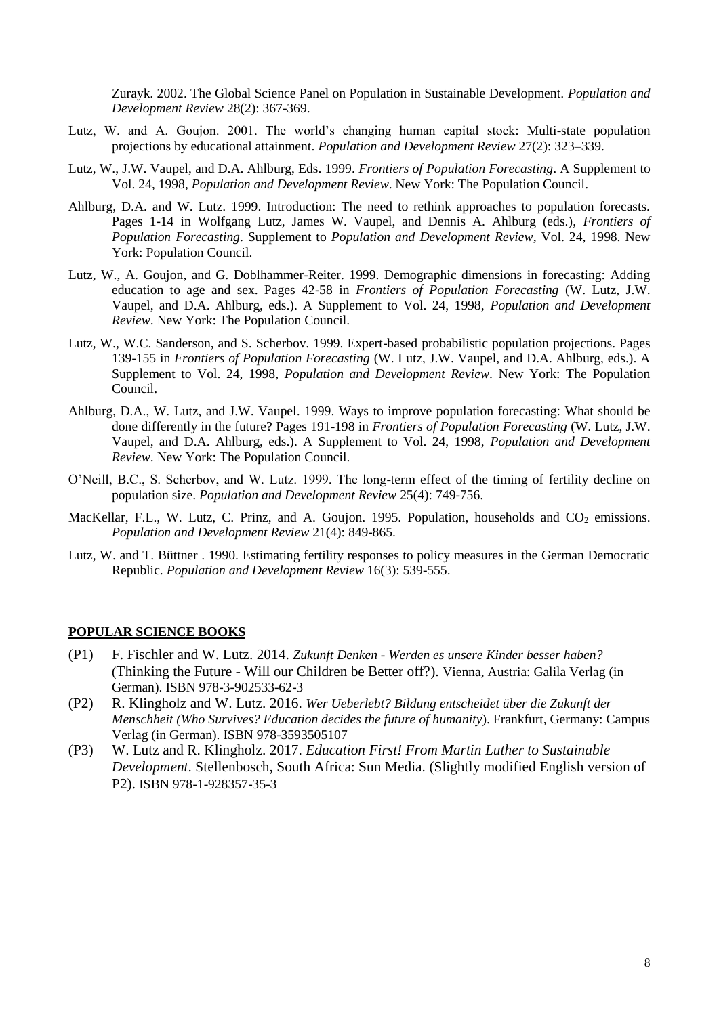Zurayk. 2002. The Global Science Panel on Population in Sustainable Development. *Population and Development Review* 28(2): 367-369.

- Lutz, W. and A. Goujon. 2001. The world's changing human capital stock: Multi-state population projections by educational attainment. *Population and Development Review* 27(2): 323–339.
- Lutz, W., J.W. Vaupel, and D.A. Ahlburg, Eds. 1999. *Frontiers of Population Forecasting*. A Supplement to Vol. 24, 1998, *Population and Development Review*. New York: The Population Council.
- Ahlburg, D.A. and W. Lutz. 1999. Introduction: The need to rethink approaches to population forecasts. Pages 1-14 in Wolfgang Lutz, James W. Vaupel, and Dennis A. Ahlburg (eds.), *Frontiers of Population Forecasting*. Supplement to *Population and Development Review*, Vol. 24, 1998. New York: Population Council.
- Lutz, W., A. Goujon, and G. Doblhammer-Reiter. 1999. Demographic dimensions in forecasting: Adding education to age and sex. Pages 42-58 in *Frontiers of Population Forecasting* (W. Lutz, J.W. Vaupel, and D.A. Ahlburg, eds.). A Supplement to Vol. 24, 1998, *Population and Development Review*. New York: The Population Council.
- Lutz, W., W.C. Sanderson, and S. Scherbov. 1999. Expert-based probabilistic population projections. Pages 139-155 in *Frontiers of Population Forecasting* (W. Lutz, J.W. Vaupel, and D.A. Ahlburg, eds.). A Supplement to Vol. 24, 1998, *Population and Development Review*. New York: The Population Council.
- Ahlburg, D.A., W. Lutz, and J.W. Vaupel. 1999. Ways to improve population forecasting: What should be done differently in the future? Pages 191-198 in *Frontiers of Population Forecasting* (W. Lutz, J.W. Vaupel, and D.A. Ahlburg, eds.). A Supplement to Vol. 24, 1998, *Population and Development Review*. New York: The Population Council.
- O'Neill, B.C., S. Scherbov, and W. Lutz. 1999. The long-term effect of the timing of fertility decline on population size. *Population and Development Review* 25(4): 749-756.
- MacKellar, F.L., W. Lutz, C. Prinz, and A. Goujon. 1995. Population, households and CO<sub>2</sub> emissions. *Population and Development Review* 21(4): 849-865.
- Lutz, W. and T. Büttner . 1990. Estimating fertility responses to policy measures in the German Democratic Republic. *Population and Development Review* 16(3): 539-555.

# **POPULAR SCIENCE BOOKS**

- (P1) F. Fischler and W. Lutz. 2014. *Zukunft Denken - Werden es unsere Kinder besser haben?*  (Thinking the Future - Will our Children be Better off?). Vienna, Austria: Galila Verlag (in German). ISBN 978-3-902533-62-3
- (P2) R. Klingholz and W. Lutz. 2016. *Wer Ueberlebt? Bildung entscheidet über die Zukunft der Menschheit (Who Survives? Education decides the future of humanity*). Frankfurt, Germany: Campus Verlag (in German). ISBN 978-3593505107
- (P3) W. Lutz and R. Klingholz. 2017. *Education First! From Martin Luther to Sustainable Development*. Stellenbosch, South Africa: Sun Media. (Slightly modified English version of P2). ISBN 978-1-928357-35-3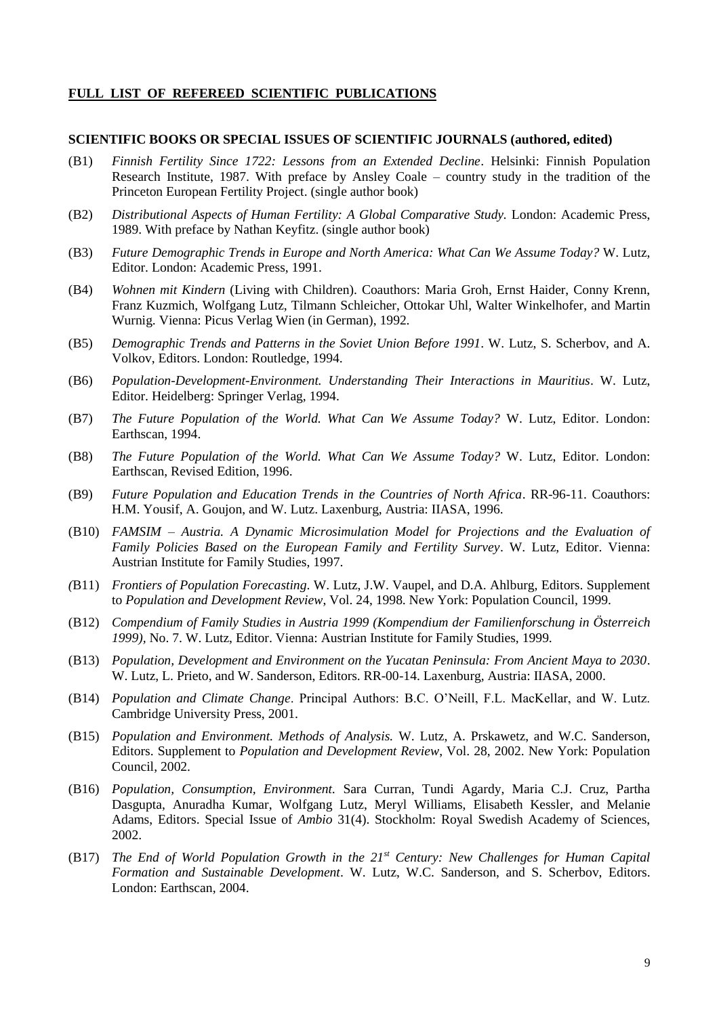# **FULL LIST OF REFEREED SCIENTIFIC PUBLICATIONS**

### **SCIENTIFIC BOOKS OR SPECIAL ISSUES OF SCIENTIFIC JOURNALS (authored, edited)**

- (B1) *Finnish Fertility Since 1722: Lessons from an Extended Decline*. Helsinki: Finnish Population Research Institute, 1987. With preface by Ansley Coale – country study in the tradition of the Princeton European Fertility Project. (single author book)
- (B2) *Distributional Aspects of Human Fertility: A Global Comparative Study.* London: Academic Press, 1989. With preface by Nathan Keyfitz. (single author book)
- (B3) *Future Demographic Trends in Europe and North America: What Can We Assume Today?* W. Lutz, Editor. London: Academic Press, 1991.
- (B4) *Wohnen mit Kindern* (Living with Children). Coauthors: Maria Groh, Ernst Haider, Conny Krenn, Franz Kuzmich, Wolfgang Lutz, Tilmann Schleicher, Ottokar Uhl, Walter Winkelhofer, and Martin Wurnig. Vienna: Picus Verlag Wien (in German), 1992.
- (B5) *Demographic Trends and Patterns in the Soviet Union Before 1991*. W. Lutz, S. Scherbov, and A. Volkov, Editors. London: Routledge, 1994.
- (B6) *Population-Development-Environment. Understanding Their Interactions in Mauritius*. W. Lutz, Editor. Heidelberg: Springer Verlag, 1994.
- (B7) *The Future Population of the World. What Can We Assume Today?* W. Lutz, Editor. London: Earthscan, 1994.
- (B8) *The Future Population of the World. What Can We Assume Today?* W. Lutz, Editor. London: Earthscan, Revised Edition, 1996.
- (B9) *Future Population and Education Trends in the Countries of North Africa*. RR-96-11. Coauthors: H.M. Yousif, A. Goujon, and W. Lutz. Laxenburg, Austria: IIASA, 1996.
- (B10) *FAMSIM – Austria. A Dynamic Microsimulation Model for Projections and the Evaluation of Family Policies Based on the European Family and Fertility Survey*. W. Lutz, Editor. Vienna: Austrian Institute for Family Studies, 1997.
- *(*B11) *Frontiers of Population Forecasting*. W. Lutz, J.W. Vaupel, and D.A. Ahlburg, Editors. Supplement to *Population and Development Review*, Vol. 24, 1998. New York: Population Council, 1999.
- (B12) *Compendium of Family Studies in Austria 1999 (Kompendium der Familienforschung in Österreich 1999),* No. 7. W. Lutz, Editor. Vienna: Austrian Institute for Family Studies, 1999.
- (B13) *Population, Development and Environment on the Yucatan Peninsula: From Ancient Maya to 2030*. W. Lutz, L. Prieto, and W. Sanderson, Editors. RR-00-14. Laxenburg, Austria: IIASA, 2000.
- (B14) *Population and Climate Change*. Principal Authors: B.C. O'Neill, F.L. MacKellar, and W. Lutz. Cambridge University Press, 2001.
- (B15) *Population and Environment. Methods of Analysis.* W. Lutz, A. Prskawetz, and W.C. Sanderson, Editors. Supplement to *Population and Development Review*, Vol. 28, 2002. New York: Population Council, 2002.
- (B16) *Population, Consumption, Environment.* Sara Curran, Tundi Agardy, Maria C.J. Cruz, Partha Dasgupta, Anuradha Kumar, Wolfgang Lutz, Meryl Williams, Elisabeth Kessler, and Melanie Adams, Editors. Special Issue of *Ambio* 31(4). Stockholm: Royal Swedish Academy of Sciences, 2002.
- (B17) *The End of World Population Growth in the 21st Century: New Challenges for Human Capital Formation and Sustainable Development*. W. Lutz, W.C. Sanderson, and S. Scherbov, Editors. London: Earthscan, 2004.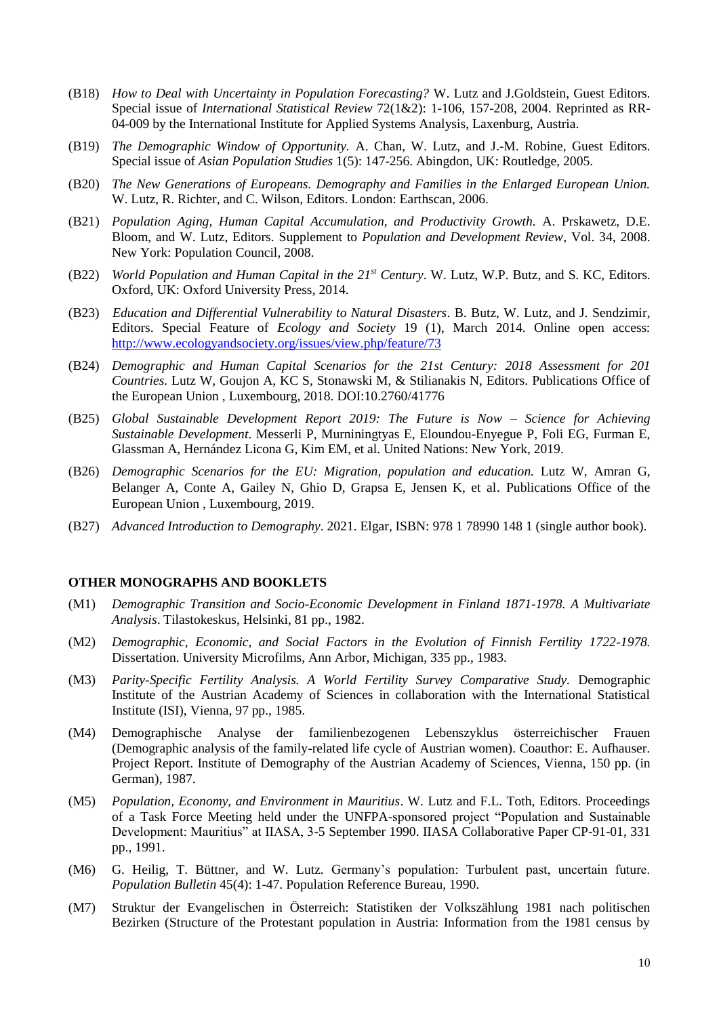- (B18) *How to Deal with Uncertainty in Population Forecasting?* W. Lutz and J.Goldstein, Guest Editors. Special issue of *International Statistical Review* 72(1&2): 1-106, 157-208, 2004. Reprinted as RR-04-009 by the International Institute for Applied Systems Analysis, Laxenburg, Austria.
- (B19) *The Demographic Window of Opportunity.* A. Chan, W. Lutz, and J.-M. Robine, Guest Editors. Special issue of *Asian Population Studies* 1(5): 147-256. Abingdon, UK: Routledge, 2005.
- (B20) *The New Generations of Europeans. Demography and Families in the Enlarged European Union.* W. Lutz, R. Richter, and C. Wilson, Editors. London: Earthscan, 2006.
- (B21) *Population Aging, Human Capital Accumulation, and Productivity Growth.* A. Prskawetz, D.E. Bloom, and W. Lutz, Editors. Supplement to *Population and Development Review*, Vol. 34, 2008. New York: Population Council, 2008.
- (B22) *World Population and Human Capital in the 21st Century*. W. Lutz, W.P. Butz, and S. KC, Editors. Oxford, UK: Oxford University Press, 2014.
- (B23) *Education and Differential Vulnerability to Natural Disasters*. B. Butz, W. Lutz, and J. Sendzimir, Editors. Special Feature of *Ecology and Society* 19 (1), March 2014. Online open access: <http://www.ecologyandsociety.org/issues/view.php/feature/73>
- (B24) *Demographic and Human Capital Scenarios for the 21st Century: 2018 Assessment for 201 Countries.* Lutz W, Goujon A, KC S, Stonawski M, & Stilianakis N, Editors. Publications Office of the European Union , Luxembourg, 2018. DOI:10.2760/41776
- (B25) *Global Sustainable Development Report 2019: The Future is Now – Science for Achieving Sustainable Development*. Messerli P, Murniningtyas E, Eloundou-Enyegue P, Foli EG, Furman E, Glassman A, Hernández Licona G, Kim EM, et al. United Nations: New York, 2019.
- (B26) *Demographic Scenarios for the EU: Migration, population and education.* Lutz W, Amran G, Belanger A, Conte A, Gailey N, Ghio D, Grapsa E, Jensen K, et al. Publications Office of the European Union , Luxembourg, 2019.
- (B27) *Advanced Introduction to Demography*. 2021. Elgar, ISBN: 978 1 78990 148 1 (single author book).

#### **OTHER MONOGRAPHS AND BOOKLETS**

- (M1) *Demographic Transition and Socio-Economic Development in Finland 1871-1978. A Multivariate Analysis*. Tilastokeskus, Helsinki, 81 pp., 1982.
- (M2) *Demographic, Economic, and Social Factors in the Evolution of Finnish Fertility 1722-1978.* Dissertation. University Microfilms, Ann Arbor, Michigan, 335 pp., 1983.
- (M3) *Parity-Specific Fertility Analysis. A World Fertility Survey Comparative Study.* Demographic Institute of the Austrian Academy of Sciences in collaboration with the International Statistical Institute (ISI), Vienna, 97 pp., 1985.
- (M4) Demographische Analyse der familienbezogenen Lebenszyklus österreichischer Frauen (Demographic analysis of the family-related life cycle of Austrian women). Coauthor: E. Aufhauser. Project Report. Institute of Demography of the Austrian Academy of Sciences, Vienna, 150 pp. (in German), 1987.
- (M5) *Population, Economy, and Environment in Mauritius*. W. Lutz and F.L. Toth, Editors. Proceedings of a Task Force Meeting held under the UNFPA-sponsored project "Population and Sustainable Development: Mauritius" at IIASA, 3-5 September 1990. IIASA Collaborative Paper CP-91-01, 331 pp., 1991.
- (M6) G. Heilig, T. Büttner, and W. Lutz. Germany's population: Turbulent past, uncertain future. *Population Bulletin* 45(4): 1-47. Population Reference Bureau, 1990.
- (M7) Struktur der Evangelischen in Österreich: Statistiken der Volkszählung 1981 nach politischen Bezirken (Structure of the Protestant population in Austria: Information from the 1981 census by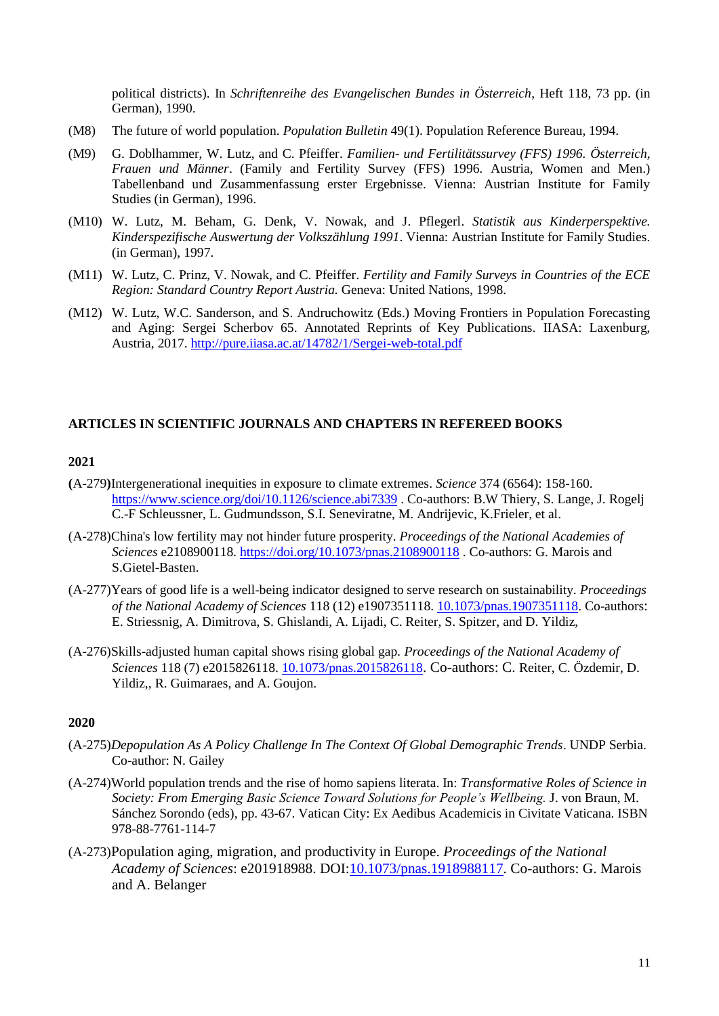political districts). In *Schriftenreihe des Evangelischen Bundes in Österreich*, Heft 118, 73 pp. (in German), 1990.

- (M8) The future of world population. *Population Bulletin* 49(1). Population Reference Bureau, 1994.
- (M9) G. Doblhammer, W. Lutz, and C. Pfeiffer. *Familien- und Fertilitätssurvey (FFS) 1996. Österreich, Frauen und Männer*. (Family and Fertility Survey (FFS) 1996. Austria, Women and Men.) Tabellenband und Zusammenfassung erster Ergebnisse. Vienna: Austrian Institute for Family Studies (in German), 1996.
- (M10) W. Lutz, M. Beham, G. Denk, V. Nowak, and J. Pflegerl. *Statistik aus Kinderperspektive. Kinderspezifische Auswertung der Volkszählung 1991*. Vienna: Austrian Institute for Family Studies. (in German), 1997.
- (M11) W. Lutz*,* C. Prinz, V. Nowak, and C. Pfeiffer. *Fertility and Family Surveys in Countries of the ECE Region: Standard Country Report Austria.* Geneva: United Nations, 1998.
- (M12) W. Lutz, W.C. Sanderson, and S. Andruchowitz (Eds.) Moving Frontiers in Population Forecasting and Aging: Sergei Scherbov 65. Annotated Reprints of Key Publications. IIASA: Laxenburg, Austria, 2017. <http://pure.iiasa.ac.at/14782/1/Sergei-web-total.pdf>

# **ARTICLES IN SCIENTIFIC JOURNALS AND CHAPTERS IN REFEREED BOOKS**

## **2021**

- **(**A-279**)**Intergenerational inequities in exposure to climate extremes. *Science* 374 (6564): 158-160. <https://www.science.org/doi/10.1126/science.abi7339> . Co-authors: B.W Thiery, S. Lange, J. Rogelj C.-F Schleussner, L. Gudmundsson, S.I. Seneviratne, M. Andrijevic, K.Frieler, et al.
- (A-278)China's low fertility may not hinder future prosperity. *Proceedings of the National Academies of Sciences* e2108900118. <https://doi.org/10.1073/pnas.2108900118> . Co-authors: G. Marois and S.Gietel-Basten.
- (A-277)Years of good life is a well-being indicator designed to serve research on sustainability. *Proceedings of the National Academy of Sciences* 118 (12) e1907351118. [10.1073/pnas.1907351118.](https://doi.org/10.1073/pnas.1907351118) Co-authors: E. Striessnig, A. Dimitrova, S. Ghislandi, A. Lijadi, C. Reiter, S. Spitzer, and D. Yildiz,
- (A-276)Skills-adjusted human capital shows rising global gap*. Proceedings of the National Academy of Sciences* 118 (7) e2015826118. [10.1073/pnas.2015826118](https://doi.org/10.1073/pnas.2015826118). Co-authors: C. Reiter, C. Özdemir, D. Yildiz,, R. Guimaraes, and A. Goujon.

- (A-275)*Depopulation As A Policy Challenge In The Context Of Global Demographic Trends*. UNDP Serbia. Co-author: N. Gailey
- (A-274)World population trends and the rise of homo sapiens literata. In: *Transformative Roles of Science in Society: From Emerging Basic Science Toward Solutions for People's Wellbeing.* J. von Braun, M. Sánchez Sorondo (eds), pp. 43-67. Vatican City: Ex Aedibus Academicis in Civitate Vaticana. ISBN 978-88-7761-114-7
- (A-273)Population aging, migration, and productivity in Europe. *Proceedings of the National Academy of Sciences*: e201918988. DOI[:10.1073/pnas.1918988117.](https://doi.org/10.1073/pnas.1918988117) Co-authors: G. Marois and A. Belanger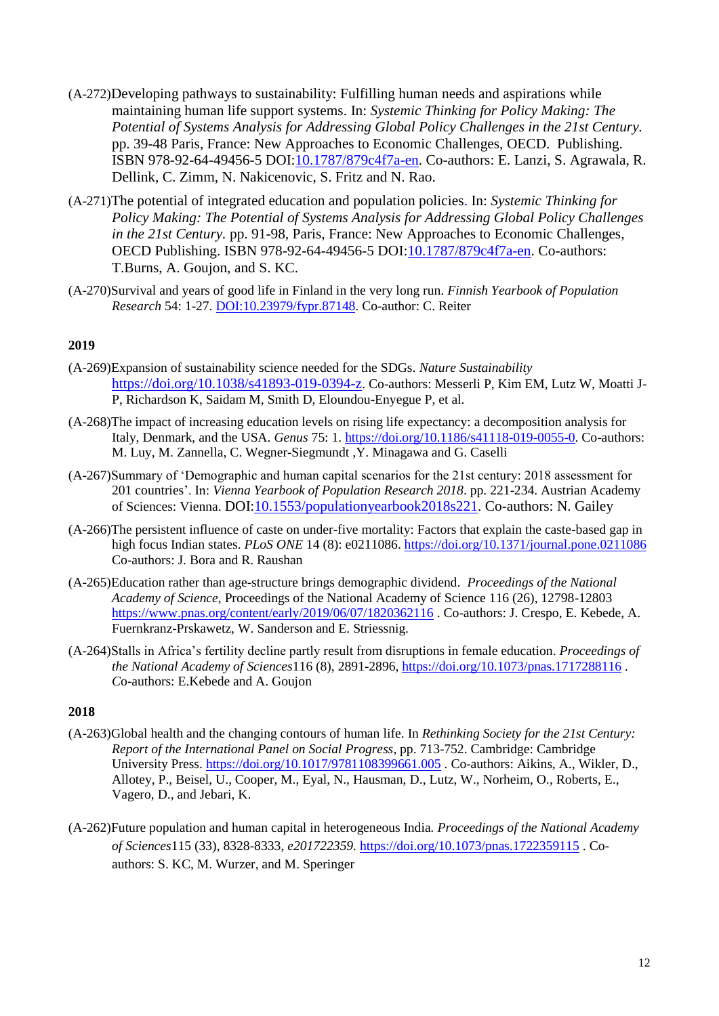- (A-272)Developing pathways to sustainability: Fulfilling human needs and aspirations while maintaining human life support systems. In: *Systemic Thinking for Policy Making: The Potential of Systems Analysis for Addressing Global Policy Challenges in the 21st Century.* pp. 39-48 Paris, France: New Approaches to Economic Challenges, OECD. Publishing. ISBN 978-92-64-49456-5 DOI[:10.1787/879c4f7a-en.](https://doi.org/10.1787/879c4f7a-en) Co-authors: E. Lanzi, S. Agrawala, R. Dellink, C. Zimm, N. Nakicenovic, S. Fritz and N. Rao.
- (A-271)The potential of integrated education and population policies. In: *Systemic Thinking for Policy Making: The Potential of Systems Analysis for Addressing Global Policy Challenges in the 21st Century.* pp. 91-98, Paris, France: New Approaches to Economic Challenges, OECD Publishing. ISBN 978-92-64-49456-5 DOI[:10.1787/879c4f7a-en.](https://doi.org/10.1787/879c4f7a-en) Co-authors: T.Burns, A. Goujon, and S. KC.
- (A-270)Survival and years of good life in Finland in the very long run. *Finnish Yearbook of Population Research* 54: 1-27. [DOI:10.23979/fypr.87148.](https://journal.fi/fypr/article/view/87148) Co-author: C. Reiter

- (A-269)Expansion of sustainability science needed for the SDGs. *Nature Sustainability* <https://doi.org/10.1038/s41893-019-0394-z>. Co-authors: Messerli P, Kim EM, Lutz W, Moatti J-P, Richardson K, Saidam M, Smith D, Eloundou-Enyegue P, et al.
- (A-268)The impact of increasing education levels on rising life expectancy: a decomposition analysis for Italy, Denmark, and the USA. *Genus* 75: 1. [https://doi.org/10.1186/s41118-019-0055-0.](https://doi.org/10.1186/s41118-019-0055-0) Co-authors: M. Luy, M. Zannella, C. Wegner-Siegmundt ,Y. Minagawa and G. Caselli
- (A-267)Summary of 'Demographic and human capital scenarios for the 21st century: 2018 assessment for 201 countries'. In: *Vienna Yearbook of Population Research 2018*. pp. 221-234. Austrian Academy of Sciences: Vienna. DOI[:10.1553/populationyearbook2018s221.](https://doi.org/10.1553/populationyearbook2018s221) Co-authors: N. Gailey
- (A-266)The persistent influence of caste on under-five mortality: Factors that explain the caste-based gap in high focus Indian states. *PLoS ONE* 14 (8): e0211086.<https://doi.org/10.1371/journal.pone.0211086> Co-authors: J. Bora and R. Raushan
- (A-265)Education rather than age-structure brings demographic dividend. *Proceedings of the National Academy of Science*, Proceedings of the National Academy of Science 116 (26), 12798-12803 <https://www.pnas.org/content/early/2019/06/07/1820362116> . Co-authors: J. Crespo, E. Kebede, A. Fuernkranz-Prskawetz, W. Sanderson and E. Striessnig.
- (A-264)Stalls in Africa's fertility decline partly result from disruptions in female education. *Proceedings of the National Academy of Sciences*116 (8), 2891-2896, <https://doi.org/10.1073/pnas.1717288116> *. C*o-authors: E.Kebede and A. Goujon

- (A-263)Global health and the changing contours of human life. In *Rethinking Society for the 21st Century: Report of the International Panel on Social Progress*, pp. 713-752. Cambridge: Cambridge University Press.<https://doi.org/10.1017/9781108399661.005> . Co-authors: Aikins, A., Wikler, D., Allotey, P., Beisel, U., Cooper, M., Eyal, N., Hausman, D., Lutz, W., Norheim, O., Roberts, E., Vagero, D., and Jebari, K.
- (A-262)Future population and human capital in heterogeneous India*. Proceedings of the National Academy of Sciences*115 (33), 8328-8333, *e201722359.* <https://doi.org/10.1073/pnas.1722359115> . Coauthors: S. KC, M. Wurzer, and M. Speringer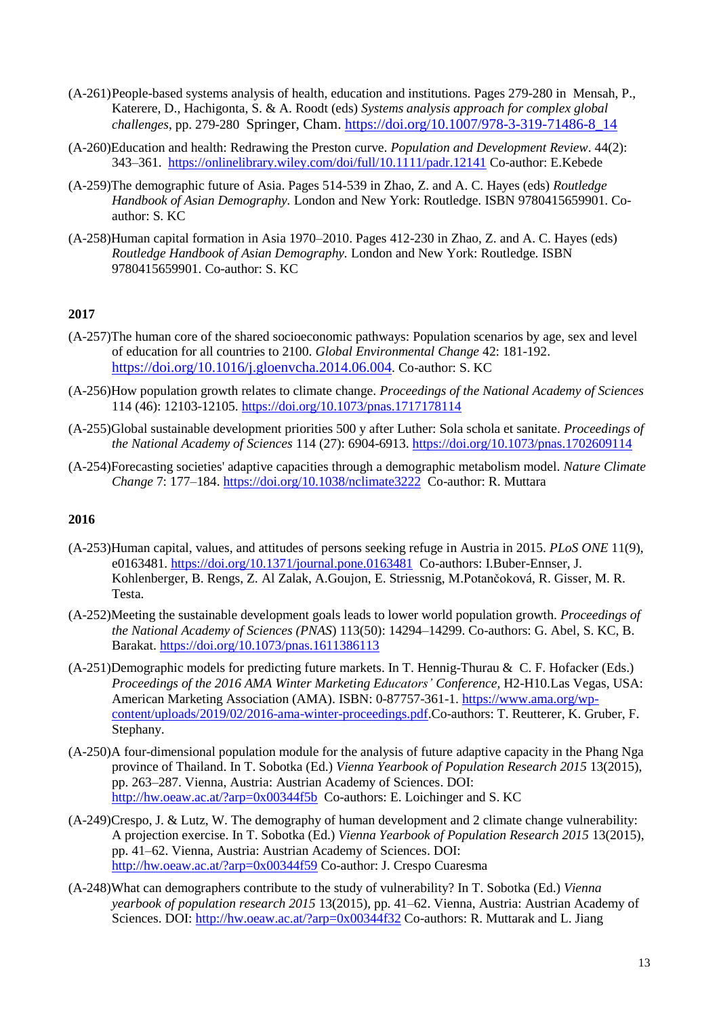- (A-261)People-based systems analysis of health, education and institutions. Pages 279-280 in Mensah, P., Katerere, D., Hachigonta, S. & A. Roodt (eds) *Systems analysis approach for complex global challenges*, pp. 279-280 Springer, Cham. [https://doi.org/10.1007/978-3-319-71486-8\\_14](https://doi.org/10.1007/978-3-319-71486-8_14)
- (A-260)Education and health: Redrawing the Preston curve. *Population and Development Review*. 44(2): 343–361. <https://onlinelibrary.wiley.com/doi/full/10.1111/padr.12141> Co-author: E.Kebede
- (A-259)The demographic future of Asia. Pages 514-539 in Zhao, Z. and A. C. Hayes (eds) *Routledge Handbook of Asian Demography.* London and New York: Routledge*.* ISBN 9780415659901. Coauthor: S. KC
- (A-258)Human capital formation in Asia 1970–2010. Pages 412-230 in Zhao, Z. and A. C. Hayes (eds) *Routledge Handbook of Asian Demography.* London and New York: Routledge*.* ISBN 9780415659901. Co-author: S. KC

- (A-257)The human core of the shared socioeconomic pathways: Population scenarios by age, sex and level of education for all countries to 2100. *Global Environmental Change* 42: 181-192. <https://doi.org/10.1016/j.gloenvcha.2014.06.004>. Co-author: S. KC
- (A-256)How population growth relates to climate change. *Proceedings of the National Academy of Sciences* 114 (46): 12103-12105.<https://doi.org/10.1073/pnas.1717178114>
- (A-255)Global sustainable development priorities 500 y after Luther: Sola schola et sanitate. *Proceedings of the National Academy of Sciences* 114 (27): 6904-6913.<https://doi.org/10.1073/pnas.1702609114>
- (A-254)Forecasting societies' adaptive capacities through a demographic metabolism model. *Nature Climate Change* 7: 177–184.<https://doi.org/10.1038/nclimate3222> Co-author: R. Muttara

- (A-253)Human capital, values, and attitudes of persons seeking refuge in Austria in 2015. *PLoS ONE* 11(9), e0163481.<https://doi.org/10.1371/journal.pone.0163481> Co-authors: I.Buber-Ennser, J. Kohlenberger, B. Rengs, Z. Al Zalak, A.Goujon, E. Striessnig, M.Potančoková, R. Gisser, M. R. Testa.
- (A-252)Meeting the sustainable development goals leads to lower world population growth. *Proceedings of the National Academy of Sciences (PNAS*) 113(50): 14294–14299. Co-authors: G. Abel, S. KC, B. Barakat. <https://doi.org/10.1073/pnas.1611386113>
- (A-251)Demographic models for predicting future markets. In T. Hennig-Thurau & C. F. Hofacker (Eds.) *Proceedings of the 2016 AMA Winter Marketing Educators' Conference,* H2-H10*.*Las Vegas, USA: American Marketing Association (AMA). ISBN: 0-87757-361-1. [https://www.ama.org/wp](https://www.ama.org/wp-content/uploads/2019/02/2016-ama-winter-proceedings.pdf)[content/uploads/2019/02/2016-ama-winter-proceedings.pdf.](https://www.ama.org/wp-content/uploads/2019/02/2016-ama-winter-proceedings.pdf)Co-authors: T. Reutterer, K. Gruber, F. Stephany.
- (A-250)A four-dimensional population module for the analysis of future adaptive capacity in the Phang Nga province of Thailand. In T. Sobotka (Ed.) *Vienna Yearbook of Population Research 2015* 13(2015), pp. 263–287. Vienna, Austria: Austrian Academy of Sciences. DOI: <http://hw.oeaw.ac.at/?arp=0x00344f5b> Co-authors: E. Loichinger and S. KC
- (A-249)Crespo, J. & Lutz, W. The demography of human development and 2 climate change vulnerability: A projection exercise. In T. Sobotka (Ed.) *Vienna Yearbook of Population Research 2015* 13(2015), pp. 41–62. Vienna, Austria: Austrian Academy of Sciences. DOI: <http://hw.oeaw.ac.at/?arp=0x00344f59> Co-author: J. Crespo Cuaresma
- (A-248)What can demographers contribute to the study of vulnerability? In T. Sobotka (Ed.) *Vienna yearbook of population research 2015* 13(2015), pp. 41–62. Vienna, Austria: Austrian Academy of Sciences. DOI:<http://hw.oeaw.ac.at/?arp=0x00344f32> Co-authors: R. Muttarak and L. Jiang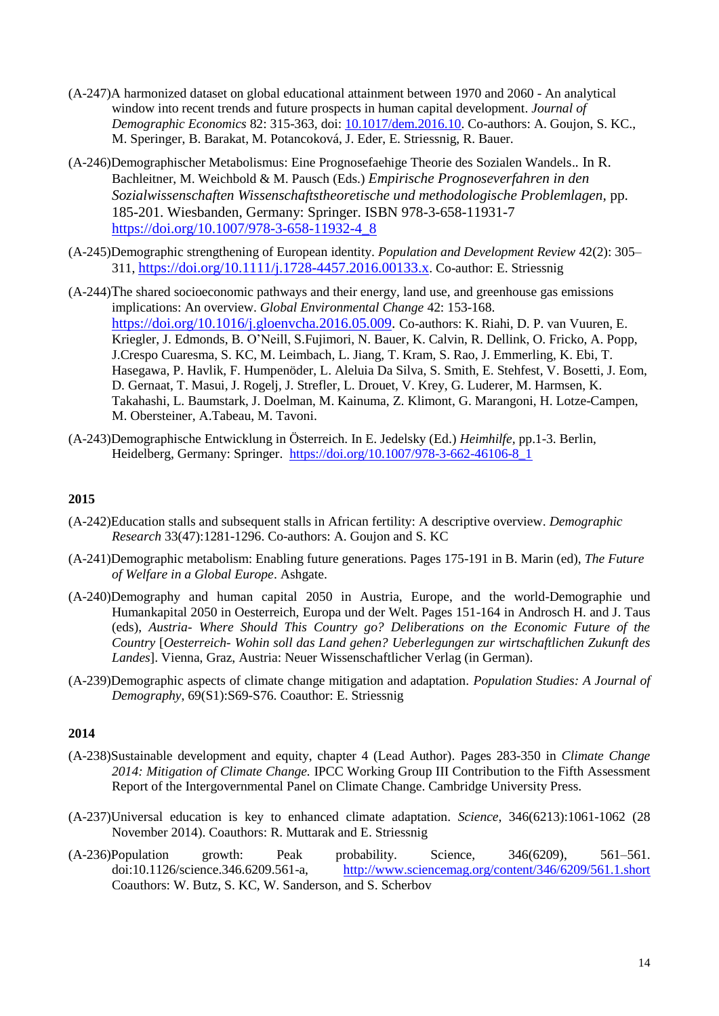- (A-247)A harmonized dataset on global educational attainment between 1970 and 2060 An analytical window into recent trends and future prospects in human capital development. *Journal of Demographic Economics* 82: 315-363*,* doi: [10.1017/dem.2016.10.](10.1017/dem.2016.10) Co-authors: A. Goujon, S. KC., M. Speringer, B. Barakat, M. Potancoková, J. Eder, E. Striessnig, R. Bauer.
- (A-246)Demographischer Metabolismus: Eine Prognosefaehige Theorie des Sozialen Wandels.*.* In R. Bachleitner, M. Weichbold & M. Pausch (Eds.) *Empirische Prognoseverfahren in den Sozialwissenschaften Wissenschaftstheoretische und methodologische Problemlagen,* pp. 185-201. Wiesbanden, Germany: Springer. ISBN 978-3-658-11931-7 [https://doi.org/10.1007/978-3-658-11932-4\\_8](https://doi.org/10.1007/978-3-658-11932-4_8)
- (A-245)Demographic strengthening of European identity. *Population and Development Review* 42(2): 305– 311, <https://doi.org/10.1111/j.1728-4457.2016.00133.x>. Co-author: E. Striessnig
- (A-244)The shared socioeconomic pathways and their energy, land use, and greenhouse gas emissions implications: An overview. *Global Environmental Change* 42: 153-168. [https://doi.org/10.1016/j.gloenvcha.2016.05.009.](https://doi.org/10.1016/j.gloenvcha.2016.05.009) Co-authors: K. Riahi, D. P. van Vuuren, E. Kriegler, J. Edmonds, B. O'Neill, S.Fujimori, N. Bauer, K. Calvin, R. Dellink, O. Fricko, A. Popp, J.Crespo Cuaresma, S. KC, M. Leimbach, L. Jiang, T. Kram, S. Rao, J. Emmerling, K. Ebi, T. Hasegawa, P. Havlik, F. Humpenöder, L. Aleluia Da Silva, S. Smith, E. Stehfest, V. Bosetti, J. Eom, D. Gernaat, T. Masui, J. Rogelj, J. Strefler, L. Drouet, V. Krey, G. Luderer, M. Harmsen, K. Takahashi, L. Baumstark, J. Doelman, M. Kainuma, Z. Klimont, G. Marangoni, H. Lotze-Campen, M. Obersteiner, A.Tabeau, M. Tavoni.
- (A-243)Demographische Entwicklung in Österreich. In E. Jedelsky (Ed.) *Heimhilfe,* pp.1-3. Berlin, Heidelberg, Germany: Springer. [https://doi.org/10.1007/978-3-662-46106-8\\_1](https://doi.org/10.1007/978-3-662-46106-8_1)

- (A-242)Education stalls and subsequent stalls in African fertility: A descriptive overview. *Demographic Research* 33(47):1281-1296. Co-authors: A. Goujon and S. KC
- (A-241)Demographic metabolism: Enabling future generations. Pages 175-191 in B. Marin (ed), *The Future of Welfare in a Global Europe*. Ashgate.
- (A-240)Demography and human capital 2050 in Austria, Europe, and the world-Demographie und Humankapital 2050 in Oesterreich, Europa und der Welt. Pages 151-164 in Androsch H. and J. Taus (eds), *Austria- Where Should This Country go? Deliberations on the Economic Future of the Country* [*Oesterreich- Wohin soll das Land gehen? Ueberlegungen zur wirtschaftlichen Zukunft des Landes*]. Vienna, Graz, Austria: Neuer Wissenschaftlicher Verlag (in German).
- (A-239)Demographic aspects of climate change mitigation and adaptation. *Population Studies: A Journal of Demography*, 69(S1):S69-S76. Coauthor: E. Striessnig

- (A-238)Sustainable development and equity, chapter 4 (Lead Author). Pages 283-350 in *Climate Change 2014: Mitigation of Climate Change.* IPCC Working Group III Contribution to the Fifth Assessment Report of the Intergovernmental Panel on Climate Change. Cambridge University Press.
- (A-237)Universal education is key to enhanced climate adaptation. *Science*, 346(6213):1061-1062 (28 November 2014). Coauthors: R. Muttarak and E. Striessnig
- (A-236)Population growth: Peak probability. Science, 346(6209), 561–561. doi:10.1126/science.346.6209.561-a, <http://www.sciencemag.org/content/346/6209/561.1.short> Coauthors: W. Butz, S. KC, W. Sanderson, and S. Scherbov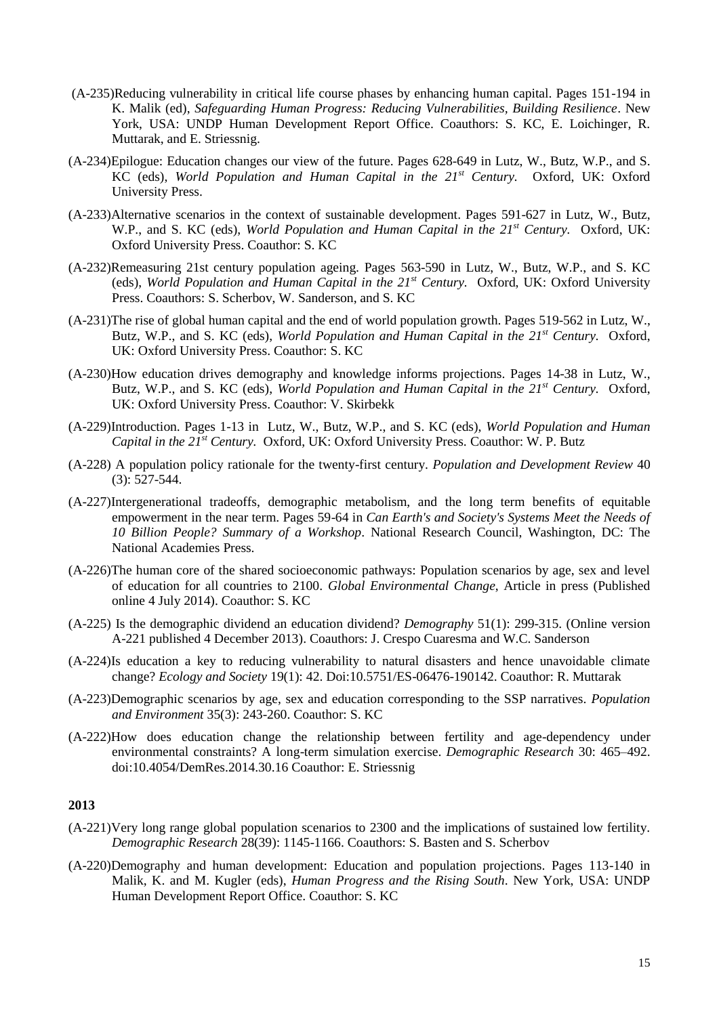- (A-235)Reducing vulnerability in critical life course phases by enhancing human capital. Pages 151-194 in K. Malik (ed), *Safeguarding Human Progress: Reducing Vulnerabilities, Building Resilience*. New York, USA: UNDP Human Development Report Office. Coauthors: S. KC, E. Loichinger, R. Muttarak, and E. Striessnig.
- (A-234)Epilogue: Education changes our view of the future. Pages 628-649 in Lutz, W., Butz, W.P., and S. KC (eds), *World Population and Human Capital in the 21st Century.* Oxford, UK: Oxford University Press.
- (A-233)Alternative scenarios in the context of sustainable development. Pages 591-627 in Lutz, W., Butz, W.P., and S. KC (eds), *World Population and Human Capital in the 21st Century.* Oxford, UK: Oxford University Press. Coauthor: S. KC
- (A-232)Remeasuring 21st century population ageing. Pages 563-590 in Lutz, W., Butz, W.P., and S. KC (eds), *World Population and Human Capital in the 21st Century.* Oxford, UK: Oxford University Press. Coauthors: S. Scherbov, W. Sanderson, and S. KC
- (A-231)The rise of global human capital and the end of world population growth. Pages 519-562 in Lutz, W., Butz, W.P., and S. KC (eds), *World Population and Human Capital in the 21st Century.* Oxford, UK: Oxford University Press. Coauthor: S. KC
- (A-230)How education drives demography and knowledge informs projections. Pages 14-38 in Lutz, W., Butz, W.P., and S. KC (eds), *World Population and Human Capital in the 21st Century.* Oxford, UK: Oxford University Press. Coauthor: V. Skirbekk
- (A-229)Introduction. Pages 1-13 in Lutz, W., Butz, W.P., and S. KC (eds), *World Population and Human Capital in the 21st Century.* Oxford, UK: Oxford University Press. Coauthor: W. P. Butz
- (A-228) A population policy rationale for the twenty-first century. *Population and Development Review* 40 (3): 527-544.
- (A-227)Intergenerational tradeoffs, demographic metabolism, and the long term benefits of equitable empowerment in the near term. Pages 59-64 in *Can Earth's and Society's Systems Meet the Needs of 10 Billion People? Summary of a Workshop*. National Research Council, Washington, DC: The National Academies Press.
- (A-226)The human core of the shared socioeconomic pathways: Population scenarios by age, sex and level of education for all countries to 2100. *Global Environmental Change*, Article in press (Published online 4 July 2014). Coauthor: S. KC
- (A-225) Is the demographic dividend an education dividend? *Demography* 51(1): 299-315. (Online version A-221 published 4 December 2013). Coauthors: J. Crespo Cuaresma and W.C. Sanderson
- (A-224)Is education a key to reducing vulnerability to natural disasters and hence unavoidable climate change? *Ecology and Society* 19(1): 42. Doi:10.5751/ES-06476-190142. Coauthor: R. Muttarak
- (A-223)Demographic scenarios by age, sex and education corresponding to the SSP narratives. *Population and Environment* 35(3): 243-260. Coauthor: S. KC
- (A-222)How does education change the relationship between fertility and age-dependency under environmental constraints? A long-term simulation exercise. *Demographic Research* 30: 465–492. doi:10.4054/DemRes.2014.30.16 Coauthor: E. Striessnig

- (A-221)Very long range global population scenarios to 2300 and the implications of sustained low fertility. *Demographic Research* 28(39): 1145-1166. Coauthors: S. Basten and S. Scherbov
- (A-220)Demography and human development: Education and population projections. Pages 113-140 in Malik, K. and M. Kugler (eds), *Human Progress and the Rising South*. New York, USA: UNDP Human Development Report Office. Coauthor: S. KC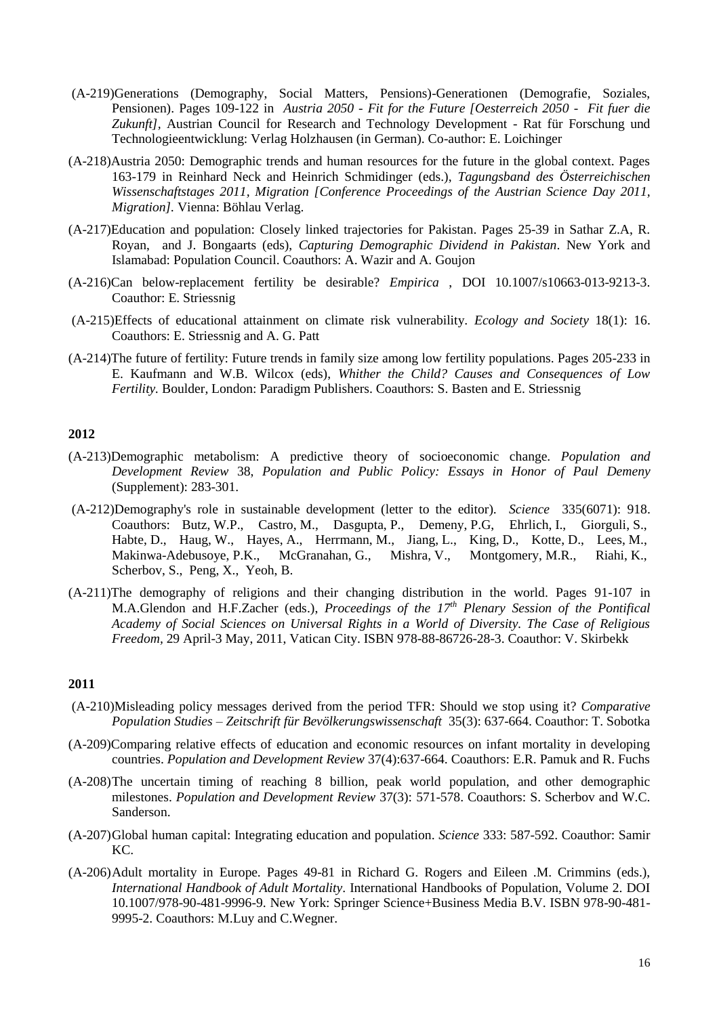- (A-219)Generations (Demography, Social Matters, Pensions)-Generationen (Demografie, Soziales, Pensionen). Pages 109-122 in *Austria 2050 - Fit for the Future [Oesterreich 2050 - Fit fuer die*  Zukunft], Austrian Council for Research and Technology Development - Rat für Forschung und Technologieentwicklung: Verlag Holzhausen (in German). Co-author: E. Loichinger
- (A-218)Austria 2050: Demographic trends and human resources for the future in the global context. Pages 163-179 in Reinhard Neck and Heinrich Schmidinger (eds.), *Tagungsband des Österreichischen Wissenschaftstages 2011, Migration [Conference Proceedings of the Austrian Science Day 2011, Migration].* Vienna: Böhlau Verlag.
- (A-217)Education and population: Closely linked trajectories for Pakistan. Pages 25-39 in Sathar Z.A, R. Royan, and J. Bongaarts (eds), *Capturing Demographic Dividend in Pakistan*. New York and Islamabad: Population Council. Coauthors: A. Wazir and A. Goujon
- (A-216)Can below-replacement fertility be desirable? *Empirica* , DOI 10.1007/s10663-013-9213-3. Coauthor: E. Striessnig
- (A-215)Effects of educational attainment on climate risk vulnerability. *Ecology and Society* 18(1): 16. Coauthors: E. Striessnig and A. G. Patt
- (A-214)The future of fertility: Future trends in family size among low fertility populations. Pages 205-233 in E. Kaufmann and W.B. Wilcox (eds), *Whither the Child? Causes and Consequences of Low Fertility.* Boulder, London: Paradigm Publishers. Coauthors: S. Basten and E. Striessnig

- (A-213)Demographic metabolism: A predictive theory of socioeconomic change. *Population and Development Review* 38, *Population and Public Policy: Essays in Honor of Paul Demeny* (Supplement): 283-301.
- (A-212)Demography's role in sustainable development (letter to the editor). *Science* 335(6071): 918. Coauthors: Butz, W.P., Castro, M., Dasgupta, P., Demeny, P.G, Ehrlich, I., Giorguli, S., Habte, D., Haug, W., Hayes, A., Herrmann, M., Jiang, L., King, D., Kotte, D., Lees, M., Makinwa-Adebusoye, P.K., McGranahan, G., Mishra, V., Montgomery, M.R., Riahi, K., Scherbov, S., Peng, X., Yeoh, B.
- (A-211)The demography of religions and their changing distribution in the world. Pages 91-107 in M.A.Glendon and H.F.Zacher (eds.), *Proceedings of the 17th Plenary Session of the Pontifical Academy of Social Sciences on Universal Rights in a World of Diversity. The Case of Religious Freedom,* 29 April-3 May, 2011, Vatican City. ISBN 978-88-86726-28-3. Coauthor: V. Skirbekk

- (A-210)Misleading policy messages derived from the period TFR: Should we stop using it? *Comparative Population Studies – Zeitschrift für Bevölkerungswissenschaft* 35(3): 637-664. Coauthor: T. Sobotka
- (A-209)Comparing relative effects of education and economic resources on infant mortality in developing countries. *Population and Development Review* 37(4):637-664. Coauthors: E.R. Pamuk and R. Fuchs
- (A-208)The uncertain timing of reaching 8 billion, peak world population, and other demographic milestones. *Population and Development Review* 37(3): 571-578. Coauthors: S. Scherbov and W.C. Sanderson.
- (A-207)Global human capital: Integrating education and population. *Science* 333: 587-592. Coauthor: Samir KC.
- (A-206)Adult mortality in Europe. Pages 49-81 in Richard G. Rogers and Eileen .M. Crimmins (eds.), *International Handbook of Adult Mortality*. International Handbooks of Population, Volume 2. DOI 10.1007/978-90-481-9996-9. New York: Springer Science+Business Media B.V. ISBN 978-90-481- 9995-2. Coauthors: M.Luy and C.Wegner.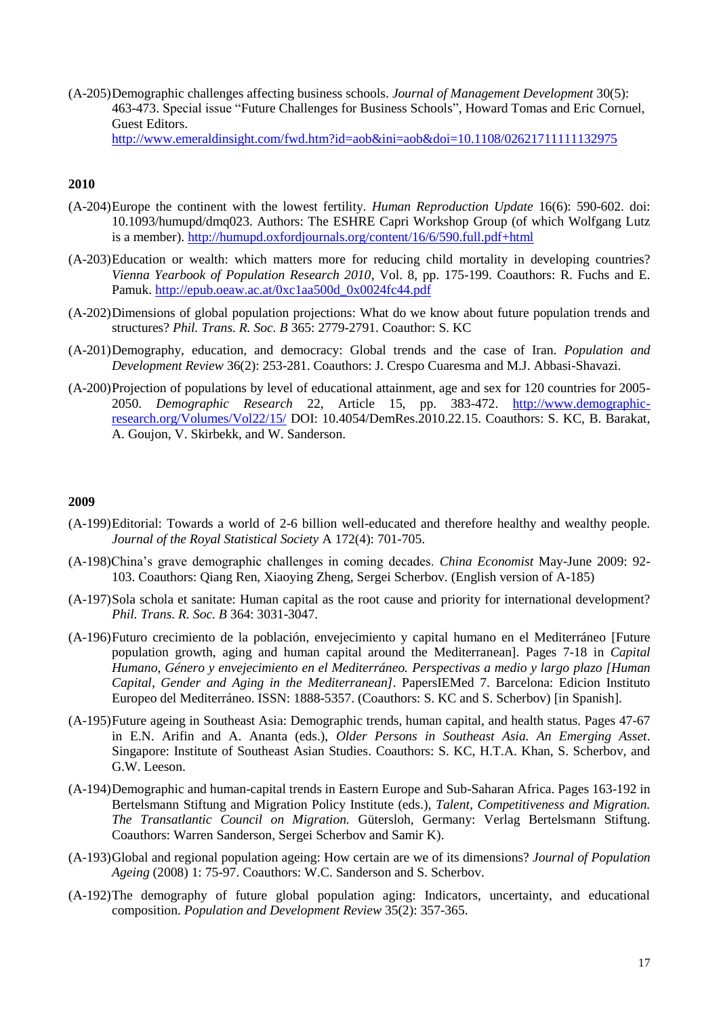(A-205)Demographic challenges affecting business schools. *Journal of Management Development* 30(5): 463-473. Special issue "Future Challenges for Business Schools", Howard Tomas and Eric Cornuel, Guest Editors.

<http://www.emeraldinsight.com/fwd.htm?id=aob&ini=aob&doi=10.1108/02621711111132975>

# **2010**

- (A-204)Europe the continent with the lowest fertility. *Human Reproduction Update* 16(6): 590-602. doi: 10.1093/humupd/dmq023. Authors: The ESHRE Capri Workshop Group (of which Wolfgang Lutz is a member).<http://humupd.oxfordjournals.org/content/16/6/590.full.pdf+html>
- (A-203)Education or wealth: which matters more for reducing child mortality in developing countries? *Vienna Yearbook of Population Research 2010*, Vol. 8, pp. 175-199. Coauthors: R. Fuchs and E. Pamuk. [http://epub.oeaw.ac.at/0xc1aa500d\\_0x0024fc44.pdf](http://epub.oeaw.ac.at/0xc1aa500d_0x0024fc44.pdf)
- (A-202)Dimensions of global population projections: What do we know about future population trends and structures? *Phil. Trans. R. Soc. B* 365: 2779-2791. Coauthor: S. KC
- (A-201)Demography, education, and democracy: Global trends and the case of Iran. *Population and Development Review* 36(2): 253-281. Coauthors: J. Crespo Cuaresma and M.J. Abbasi-Shavazi.
- (A-200)Projection of populations by level of educational attainment, age and sex for 120 countries for 2005- 2050. *Demographic Research* 22, Article 15, pp. 383-472. [http://www.demographic](http://www.demographic-research.org/Volumes/Vol22/15/)[research.org/Volumes/Vol22/15/](http://www.demographic-research.org/Volumes/Vol22/15/) DOI: 10.4054/DemRes.2010.22.15. Coauthors: S. KC, B. Barakat, A. Goujon, V. Skirbekk, and W. Sanderson.

- (A-199)Editorial: Towards a world of 2-6 billion well-educated and therefore healthy and wealthy people. *Journal of the Royal Statistical Society* A 172(4): 701-705.
- (A-198)China's grave demographic challenges in coming decades. *China Economist* May-June 2009: 92- 103. Coauthors: Qiang Ren, Xiaoying Zheng, Sergei Scherbov. (English version of A-185)
- (A-197)Sola schola et sanitate: Human capital as the root cause and priority for international development? *Phil. Trans. R. Soc. B* 364: 3031-3047.
- (A-196)Futuro crecimiento de la población, envejecimiento y capital humano en el Mediterráneo [Future population growth, aging and human capital around the Mediterranean]. Pages 7-18 in *Capital Humano, Género y envejecimiento en el Mediterráneo. Perspectivas a medio y largo plazo [Human Capital, Gender and Aging in the Mediterranean]*. PapersIEMed 7. Barcelona: Edicion Instituto Europeo del Mediterráneo. ISSN: 1888-5357. (Coauthors: S. KC and S. Scherbov) [in Spanish].
- (A-195)Future ageing in Southeast Asia: Demographic trends, human capital, and health status. Pages 47-67 in E.N. Arifin and A. Ananta (eds.), *Older Persons in Southeast Asia. An Emerging Asset*. Singapore: Institute of Southeast Asian Studies. Coauthors: S. KC, H.T.A. Khan, S. Scherbov, and G.W. Leeson.
- (A-194)Demographic and human-capital trends in Eastern Europe and Sub-Saharan Africa. Pages 163-192 in Bertelsmann Stiftung and Migration Policy Institute (eds.), *Talent, Competitiveness and Migration. The Transatlantic Council on Migration.* Gütersloh, Germany: Verlag Bertelsmann Stiftung. Coauthors: Warren Sanderson, Sergei Scherbov and Samir K).
- (A-193)Global and regional population ageing: How certain are we of its dimensions? *Journal of Population Ageing* (2008) 1: 75-97. Coauthors: W.C. Sanderson and S. Scherbov.
- (A-192)The demography of future global population aging: Indicators, uncertainty, and educational composition. *Population and Development Review* 35(2): 357-365.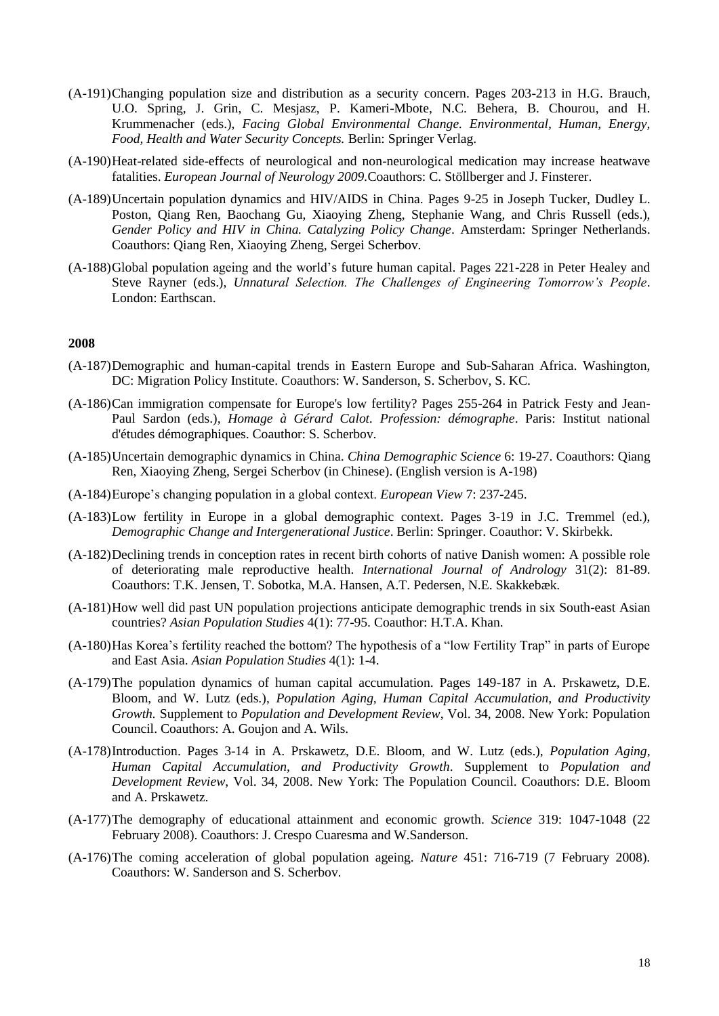- (A-191)Changing population size and distribution as a security concern. Pages 203-213 in H.G. Brauch, U.O. Spring, J. Grin, C. Mesjasz, P. Kameri-Mbote, N.C. Behera, B. Chourou, and H. Krummenacher (eds.), *Facing Global Environmental Change. Environmental, Human, Energy, Food, Health and Water Security Concepts.* Berlin: Springer Verlag.
- (A-190)Heat-related side-effects of neurological and non-neurological medication may increase heatwave fatalities. *European Journal of Neurology 2009.*Coauthors: C. Stöllberger and J. Finsterer.
- (A-189)Uncertain population dynamics and HIV/AIDS in China. Pages 9-25 in Joseph Tucker, Dudley L. Poston, Qiang Ren, Baochang Gu, Xiaoying Zheng, Stephanie Wang, and Chris Russell (eds.), *Gender Policy and HIV in China. Catalyzing Policy Change*. Amsterdam: Springer Netherlands. Coauthors: Qiang Ren, Xiaoying Zheng, Sergei Scherbov.
- (A-188)Global population ageing and the world's future human capital. Pages 221-228 in Peter Healey and Steve Rayner (eds.), *Unnatural Selection. The Challenges of Engineering Tomorrow's People*. London: Earthscan.

- (A-187)Demographic and human-capital trends in Eastern Europe and Sub-Saharan Africa. Washington, DC: Migration Policy Institute. Coauthors: W. Sanderson, S. Scherbov, S. KC.
- (A-186)Can immigration compensate for Europe's low fertility? Pages 255-264 in Patrick Festy and Jean-Paul Sardon (eds.), *Homage à Gérard Calot. Profession: démographe*. Paris: Institut national d'études démographiques. Coauthor: S. Scherbov.
- (A-185)Uncertain demographic dynamics in China. *China Demographic Science* 6: 19-27. Coauthors: Qiang Ren, Xiaoying Zheng, Sergei Scherbov (in Chinese). (English version is A-198)
- (A-184)Europe's changing population in a global context. *European View* 7: 237-245.
- (A-183)Low fertility in Europe in a global demographic context. Pages 3-19 in J.C. Tremmel (ed.), *Demographic Change and Intergenerational Justice*. Berlin: Springer. Coauthor: V. Skirbekk.
- (A-182)Declining trends in conception rates in recent birth cohorts of native Danish women: A possible role of deteriorating male reproductive health. *International Journal of Andrology* 31(2): 81-89. Coauthors: T.K. Jensen, T. Sobotka, M.A. Hansen, A.T. Pedersen, N.E. Skakkebæk.
- (A-181)How well did past UN population projections anticipate demographic trends in six South-east Asian countries? *Asian Population Studies* 4(1): 77-95. Coauthor: H.T.A. Khan.
- (A-180)Has Korea's fertility reached the bottom? The hypothesis of a "low Fertility Trap" in parts of Europe and East Asia. *Asian Population Studies* 4(1): 1-4.
- (A-179)The population dynamics of human capital accumulation. Pages 149-187 in A. Prskawetz, D.E. Bloom, and W. Lutz (eds.), *Population Aging, Human Capital Accumulation, and Productivity Growth.* Supplement to *Population and Development Review*, Vol. 34, 2008. New York: Population Council. Coauthors: A. Goujon and A. Wils.
- (A-178)Introduction. Pages 3-14 in A. Prskawetz, D.E. Bloom, and W. Lutz (eds.), *Population Aging, Human Capital Accumulation, and Productivity Growth*. Supplement to *Population and Development Review*, Vol. 34, 2008. New York: The Population Council. Coauthors: D.E. Bloom and A. Prskawetz.
- (A-177)The demography of educational attainment and economic growth. *Science* 319: 1047-1048 (22 February 2008). Coauthors: J. Crespo Cuaresma and W.Sanderson.
- (A-176)The coming acceleration of global population ageing. *Nature* 451: 716-719 (7 February 2008). Coauthors: W. Sanderson and S. Scherbov.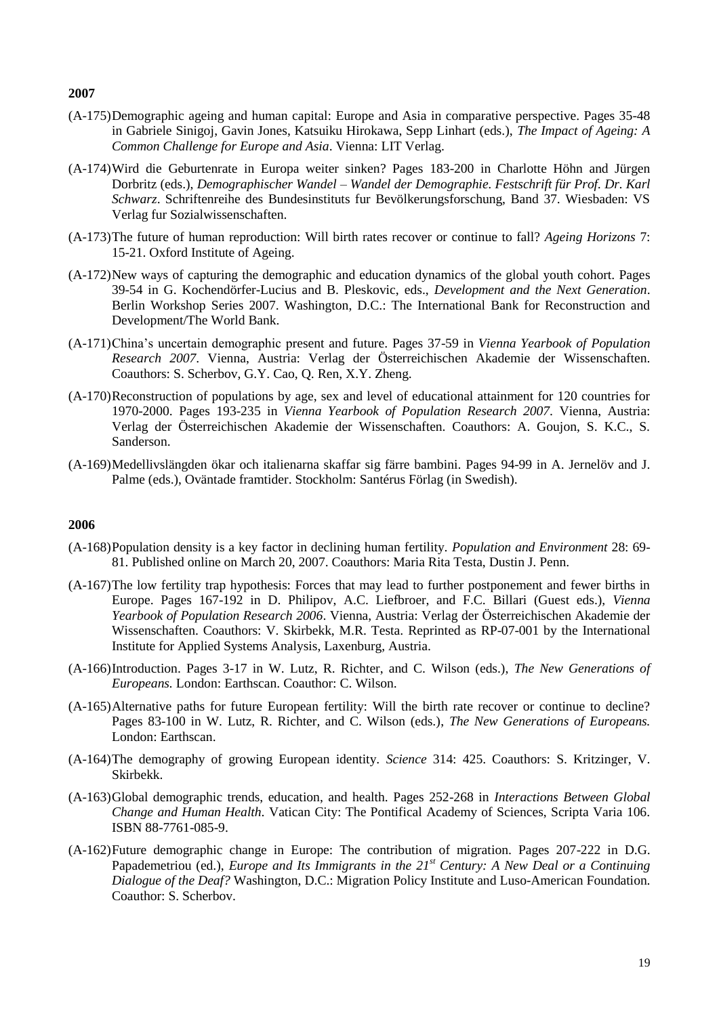- (A-175)Demographic ageing and human capital: Europe and Asia in comparative perspective. Pages 35-48 in Gabriele Sinigoj, Gavin Jones, Katsuiku Hirokawa, Sepp Linhart (eds.), *The Impact of Ageing: A Common Challenge for Europe and Asia*. Vienna: LIT Verlag.
- (A-174)Wird die Geburtenrate in Europa weiter sinken? Pages 183-200 in Charlotte Höhn and Jürgen Dorbritz (eds.), *Demographischer Wandel – Wandel der Demographie. Festschrift für Prof. Dr. Karl Schwarz*. Schriftenreihe des Bundesinstituts fur Bevölkerungsforschung, Band 37. Wiesbaden: VS Verlag fur Sozialwissenschaften.
- (A-173)The future of human reproduction: Will birth rates recover or continue to fall? *Ageing Horizons* 7: 15-21. Oxford Institute of Ageing.
- (A-172)New ways of capturing the demographic and education dynamics of the global youth cohort. Pages 39-54 in G. Kochendörfer-Lucius and B. Pleskovic, eds., *Development and the Next Generation*. Berlin Workshop Series 2007. Washington, D.C.: The International Bank for Reconstruction and Development/The World Bank.
- (A-171)China's uncertain demographic present and future. Pages 37-59 in *Vienna Yearbook of Population Research 2007*. Vienna, Austria: Verlag der Österreichischen Akademie der Wissenschaften. Coauthors: S. Scherbov, G.Y. Cao, Q. Ren, X.Y. Zheng.
- (A-170)Reconstruction of populations by age, sex and level of educational attainment for 120 countries for 1970-2000. Pages 193-235 in *Vienna Yearbook of Population Research 2007*. Vienna, Austria: Verlag der Österreichischen Akademie der Wissenschaften. Coauthors: A. Goujon, S. K.C., S. Sanderson.
- (A-169)Medellivslängden ökar och italienarna skaffar sig färre bambini. Pages 94-99 in A. Jernelöv and J. Palme (eds.), Oväntade framtider. Stockholm: Santérus Förlag (in Swedish).

- (A-168)Population density is a key factor in declining human fertility. *Population and Environment* 28: 69- 81. Published online on March 20, 2007. Coauthors: Maria Rita Testa, Dustin J. Penn.
- (A-167)The low fertility trap hypothesis: Forces that may lead to further postponement and fewer births in Europe. Pages 167-192 in D. Philipov, A.C. Liefbroer, and F.C. Billari (Guest eds.), *Vienna Yearbook of Population Research 2006*. Vienna, Austria: Verlag der Österreichischen Akademie der Wissenschaften. Coauthors: V. Skirbekk, M.R. Testa. Reprinted as RP-07-001 by the International Institute for Applied Systems Analysis, Laxenburg, Austria.
- (A-166)Introduction. Pages 3-17 in W. Lutz, R. Richter, and C. Wilson (eds.), *The New Generations of Europeans.* London: Earthscan. Coauthor: C. Wilson.
- (A-165)Alternative paths for future European fertility: Will the birth rate recover or continue to decline? Pages 83-100 in W. Lutz, R. Richter, and C. Wilson (eds.), *The New Generations of Europeans.* London: Earthscan.
- (A-164)The demography of growing European identity. *Science* 314: 425. Coauthors: S. Kritzinger, V. Skirbekk.
- (A-163)Global demographic trends, education, and health. Pages 252-268 in *Interactions Between Global Change and Human Health*. Vatican City: The Pontifical Academy of Sciences, Scripta Varia 106. ISBN 88-7761-085-9.
- (A-162)Future demographic change in Europe: The contribution of migration. Pages 207-222 in D.G. Papademetriou (ed.), *Europe and Its Immigrants in the 21st Century: A New Deal or a Continuing Dialogue of the Deaf?* Washington, D.C.: Migration Policy Institute and Luso-American Foundation. Coauthor: S. Scherbov.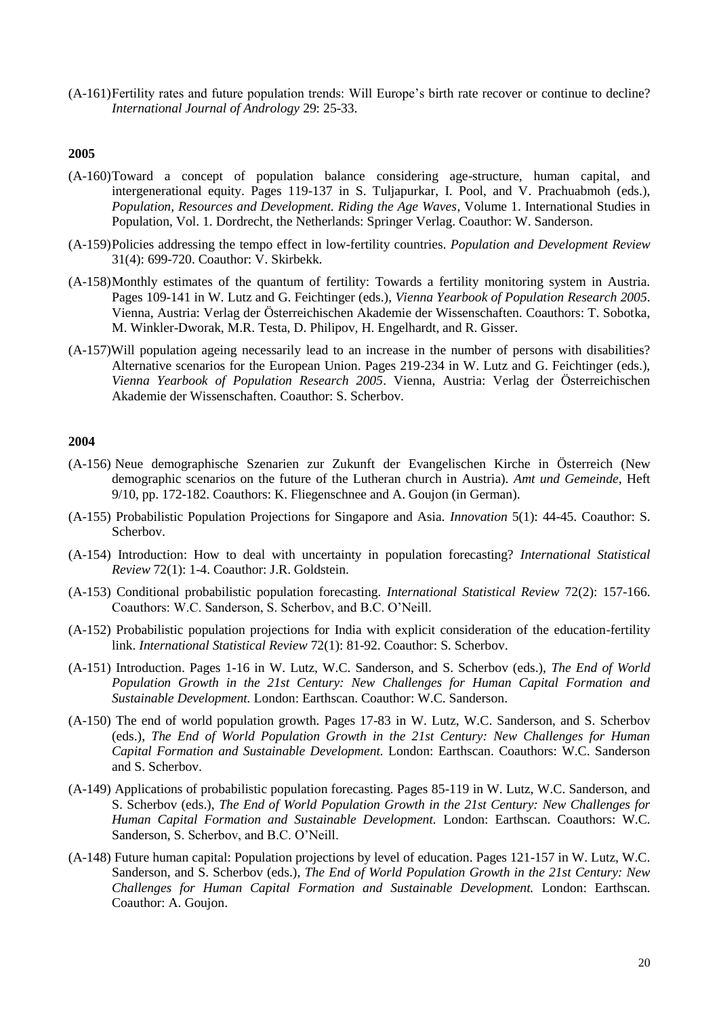(A-161)Fertility rates and future population trends: Will Europe's birth rate recover or continue to decline? *International Journal of Andrology* 29: 25-33.

# **2005**

- (A-160)Toward a concept of population balance considering age-structure, human capital, and intergenerational equity. Pages 119-137 in S. Tuljapurkar, I. Pool, and V. Prachuabmoh (eds.), *Population, Resources and Development. Riding the Age Waves*, Volume 1. International Studies in Population, Vol. 1. Dordrecht, the Netherlands: Springer Verlag. Coauthor: W. Sanderson.
- (A-159)Policies addressing the tempo effect in low-fertility countries. *Population and Development Review* 31(4): 699-720. Coauthor: V. Skirbekk.
- (A-158)Monthly estimates of the quantum of fertility: Towards a fertility monitoring system in Austria. Pages 109-141 in W. Lutz and G. Feichtinger (eds.), *Vienna Yearbook of Population Research 2005*. Vienna, Austria: Verlag der Österreichischen Akademie der Wissenschaften. Coauthors: T. Sobotka, M. Winkler-Dworak, M.R. Testa, D. Philipov, H. Engelhardt, and R. Gisser.
- (A-157)Will population ageing necessarily lead to an increase in the number of persons with disabilities? Alternative scenarios for the European Union. Pages 219-234 in W. Lutz and G. Feichtinger (eds.), *Vienna Yearbook of Population Research 2005*. Vienna, Austria: Verlag der Österreichischen Akademie der Wissenschaften. Coauthor: S. Scherbov.

- (A-156) Neue demographische Szenarien zur Zukunft der Evangelischen Kirche in Österreich (New demographic scenarios on the future of the Lutheran church in Austria). *Amt und Gemeinde*, Heft 9/10, pp. 172-182. Coauthors: K. Fliegenschnee and A. Goujon (in German).
- (A-155) Probabilistic Population Projections for Singapore and Asia. *Innovation* 5(1): 44-45. Coauthor: S. Scherbov.
- (A-154) Introduction: How to deal with uncertainty in population forecasting? *International Statistical Review* 72(1): 1-4. Coauthor: J.R. Goldstein.
- (A-153) Conditional probabilistic population forecasting. *International Statistical Review* 72(2): 157-166. Coauthors: W.C. Sanderson, S. Scherbov, and B.C. O'Neill.
- (A-152) Probabilistic population projections for India with explicit consideration of the education-fertility link. *International Statistical Review* 72(1): 81-92. Coauthor: S. Scherbov.
- (A-151) Introduction. Pages 1-16 in W. Lutz, W.C. Sanderson, and S. Scherbov (eds.), *The End of World Population Growth in the 21st Century: New Challenges for Human Capital Formation and Sustainable Development.* London: Earthscan. Coauthor: W.C. Sanderson.
- (A-150) The end of world population growth. Pages 17-83 in W. Lutz, W.C. Sanderson, and S. Scherbov (eds.), *The End of World Population Growth in the 21st Century: New Challenges for Human Capital Formation and Sustainable Development.* London: Earthscan. Coauthors: W.C. Sanderson and S. Scherbov.
- (A-149) Applications of probabilistic population forecasting. Pages 85-119 in W. Lutz, W.C. Sanderson, and S. Scherbov (eds.), *The End of World Population Growth in the 21st Century: New Challenges for Human Capital Formation and Sustainable Development.* London: Earthscan. Coauthors: W.C. Sanderson, S. Scherbov, and B.C. O'Neill.
- (A-148) Future human capital: Population projections by level of education. Pages 121-157 in W. Lutz, W.C. Sanderson, and S. Scherbov (eds.), *The End of World Population Growth in the 21st Century: New Challenges for Human Capital Formation and Sustainable Development.* London: Earthscan. Coauthor: A. Goujon.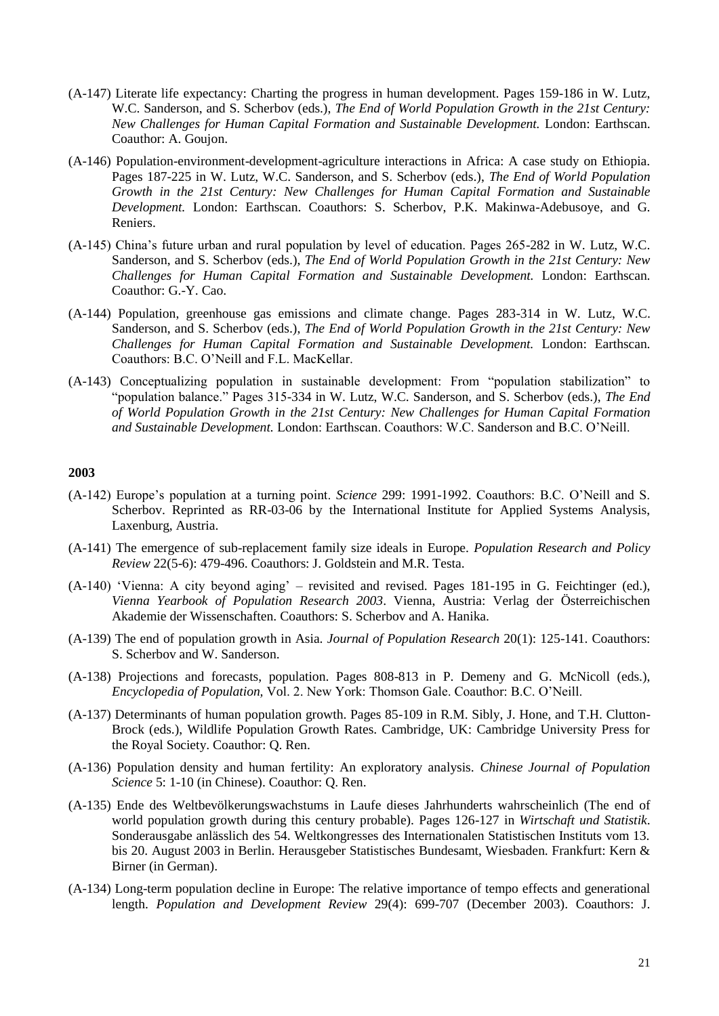- (A-147) Literate life expectancy: Charting the progress in human development. Pages 159-186 in W. Lutz, W.C. Sanderson, and S. Scherbov (eds.), *The End of World Population Growth in the 21st Century: New Challenges for Human Capital Formation and Sustainable Development.* London: Earthscan. Coauthor: A. Goujon.
- (A-146) Population-environment-development-agriculture interactions in Africa: A case study on Ethiopia. Pages 187-225 in W. Lutz, W.C. Sanderson, and S. Scherbov (eds.), *The End of World Population Growth in the 21st Century: New Challenges for Human Capital Formation and Sustainable Development.* London: Earthscan. Coauthors: S. Scherbov, P.K. Makinwa-Adebusoye, and G. Reniers.
- (A-145) China's future urban and rural population by level of education. Pages 265-282 in W. Lutz, W.C. Sanderson, and S. Scherbov (eds.), *The End of World Population Growth in the 21st Century: New Challenges for Human Capital Formation and Sustainable Development.* London: Earthscan. Coauthor: G.-Y. Cao.
- (A-144) Population, greenhouse gas emissions and climate change. Pages 283-314 in W. Lutz, W.C. Sanderson, and S. Scherbov (eds.), *The End of World Population Growth in the 21st Century: New Challenges for Human Capital Formation and Sustainable Development.* London: Earthscan. Coauthors: B.C. O'Neill and F.L. MacKellar.
- (A-143) Conceptualizing population in sustainable development: From "population stabilization" to "population balance." Pages 315-334 in W. Lutz, W.C. Sanderson, and S. Scherbov (eds.), *The End of World Population Growth in the 21st Century: New Challenges for Human Capital Formation and Sustainable Development.* London: Earthscan. Coauthors: W.C. Sanderson and B.C. O'Neill.

- (A-142) Europe's population at a turning point. *Science* 299: 1991-1992. Coauthors: B.C. O'Neill and S. Scherbov. Reprinted as RR-03-06 by the International Institute for Applied Systems Analysis, Laxenburg, Austria.
- (A-141) The emergence of sub-replacement family size ideals in Europe. *Population Research and Policy Review* 22(5-6): 479-496. Coauthors: J. Goldstein and M.R. Testa.
- (A-140) 'Vienna: A city beyond aging' revisited and revised. Pages 181-195 in G. Feichtinger (ed.), *Vienna Yearbook of Population Research 2003*. Vienna, Austria: Verlag der Österreichischen Akademie der Wissenschaften. Coauthors: S. Scherbov and A. Hanika.
- (A-139) The end of population growth in Asia. *Journal of Population Research* 20(1): 125-141. Coauthors: S. Scherbov and W. Sanderson.
- (A-138) Projections and forecasts, population. Pages 808-813 in P. Demeny and G. McNicoll (eds.), *Encyclopedia of Population,* Vol. 2. New York: Thomson Gale. Coauthor: B.C. O'Neill.
- (A-137) Determinants of human population growth. Pages 85-109 in R.M. Sibly, J. Hone, and T.H. Clutton-Brock (eds.), Wildlife Population Growth Rates. Cambridge, UK: Cambridge University Press for the Royal Society. Coauthor: Q. Ren.
- (A-136) Population density and human fertility: An exploratory analysis. *Chinese Journal of Population Science* 5: 1-10 (in Chinese). Coauthor: Q. Ren.
- (A-135) Ende des Weltbevölkerungswachstums in Laufe dieses Jahrhunderts wahrscheinlich (The end of world population growth during this century probable). Pages 126-127 in *Wirtschaft und Statistik*. Sonderausgabe anlässlich des 54. Weltkongresses des Internationalen Statistischen Instituts vom 13. bis 20. August 2003 in Berlin. Herausgeber Statistisches Bundesamt, Wiesbaden. Frankfurt: Kern & Birner (in German).
- (A-134) Long-term population decline in Europe: The relative importance of tempo effects and generational length. *Population and Development Review* 29(4): 699-707 (December 2003). Coauthors: J.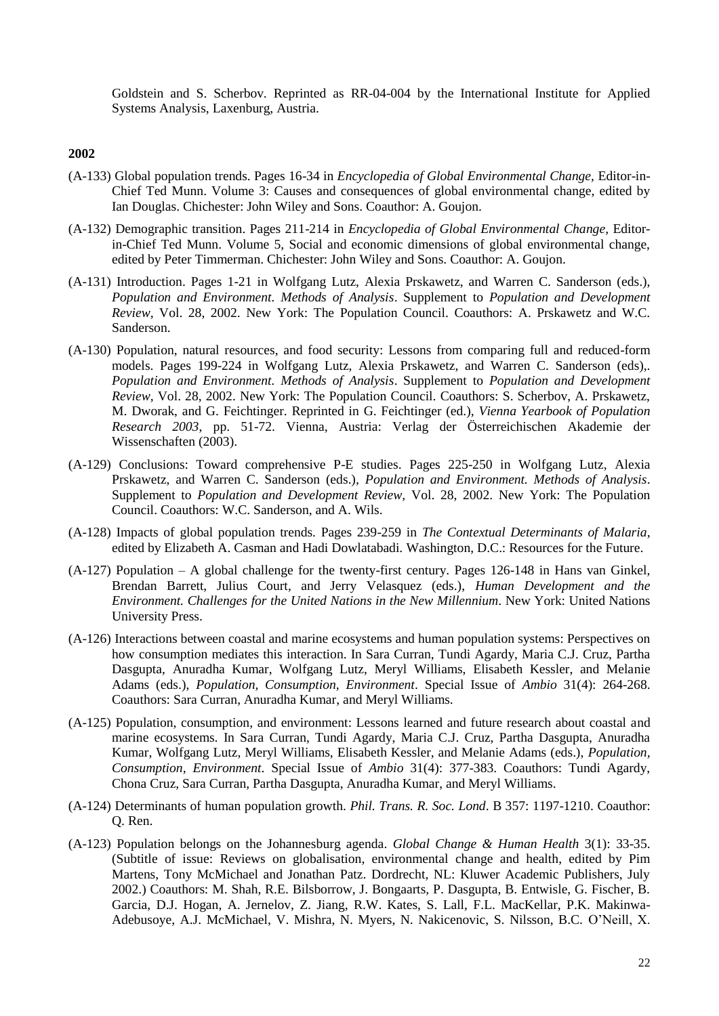Goldstein and S. Scherbov. Reprinted as RR-04-004 by the International Institute for Applied Systems Analysis, Laxenburg, Austria.

- (A-133) Global population trends. Pages 16-34 in *Encyclopedia of Global Environmental Change,* Editor-in-Chief Ted Munn. Volume 3: Causes and consequences of global environmental change, edited by Ian Douglas. Chichester: John Wiley and Sons. Coauthor: A. Goujon.
- (A-132) Demographic transition. Pages 211-214 in *Encyclopedia of Global Environmental Change,* Editorin-Chief Ted Munn. Volume 5, Social and economic dimensions of global environmental change, edited by Peter Timmerman. Chichester: John Wiley and Sons. Coauthor: A. Goujon.
- (A-131) Introduction. Pages 1-21 in Wolfgang Lutz, Alexia Prskawetz, and Warren C. Sanderson (eds.), *Population and Environment. Methods of Analysis*. Supplement to *Population and Development Review,* Vol. 28, 2002. New York: The Population Council. Coauthors: A. Prskawetz and W.C. Sanderson.
- (A-130) Population, natural resources, and food security: Lessons from comparing full and reduced-form models. Pages 199-224 in Wolfgang Lutz, Alexia Prskawetz, and Warren C. Sanderson (eds),. *Population and Environment. Methods of Analysis*. Supplement to *Population and Development Review,* Vol. 28, 2002. New York: The Population Council. Coauthors: S. Scherbov, A. Prskawetz, M. Dworak, and G. Feichtinger. Reprinted in G. Feichtinger (ed.), *Vienna Yearbook of Population Research 2003*, pp. 51-72. Vienna, Austria: Verlag der Österreichischen Akademie der Wissenschaften (2003).
- (A-129) Conclusions: Toward comprehensive P-E studies. Pages 225-250 in Wolfgang Lutz, Alexia Prskawetz, and Warren C. Sanderson (eds.), *Population and Environment. Methods of Analysis*. Supplement to *Population and Development Review,* Vol. 28, 2002. New York: The Population Council. Coauthors: W.C. Sanderson, and A. Wils.
- (A-128) Impacts of global population trends. Pages 239-259 in *The Contextual Determinants of Malaria*, edited by Elizabeth A. Casman and Hadi Dowlatabadi. Washington, D.C.: Resources for the Future.
- (A-127) Population A global challenge for the twenty-first century. Pages 126-148 in Hans van Ginkel, Brendan Barrett, Julius Court, and Jerry Velasquez (eds.), *Human Development and the Environment. Challenges for the United Nations in the New Millennium*. New York: United Nations University Press.
- (A-126) Interactions between coastal and marine ecosystems and human population systems: Perspectives on how consumption mediates this interaction. In Sara Curran, Tundi Agardy, Maria C.J. Cruz, Partha Dasgupta, Anuradha Kumar, Wolfgang Lutz, Meryl Williams, Elisabeth Kessler, and Melanie Adams (eds.), *Population, Consumption, Environment*. Special Issue of *Ambio* 31(4): 264-268. Coauthors: Sara Curran, Anuradha Kumar, and Meryl Williams.
- (A-125) Population, consumption, and environment: Lessons learned and future research about coastal and marine ecosystems. In Sara Curran, Tundi Agardy, Maria C.J. Cruz, Partha Dasgupta, Anuradha Kumar, Wolfgang Lutz, Meryl Williams, Elisabeth Kessler, and Melanie Adams (eds.), *Population, Consumption, Environment*. Special Issue of *Ambio* 31(4): 377-383. Coauthors: Tundi Agardy, Chona Cruz, Sara Curran, Partha Dasgupta, Anuradha Kumar, and Meryl Williams.
- (A-124) Determinants of human population growth. *Phil. Trans. R. Soc. Lond*. B 357: 1197-1210. Coauthor: Q. Ren.
- (A-123) Population belongs on the Johannesburg agenda. *Global Change & Human Health* 3(1): 33-35. (Subtitle of issue: Reviews on globalisation, environmental change and health, edited by Pim Martens, Tony McMichael and Jonathan Patz. Dordrecht, NL: Kluwer Academic Publishers, July 2002.) Coauthors: M. Shah, R.E. Bilsborrow, J. Bongaarts, P. Dasgupta, B. Entwisle, G. Fischer, B. Garcia, D.J. Hogan, A. Jernelov, Z. Jiang, R.W. Kates, S. Lall, F.L. MacKellar, P.K. Makinwa-Adebusoye, A.J. McMichael, V. Mishra, N. Myers, N. Nakicenovic, S. Nilsson, B.C. O'Neill, X.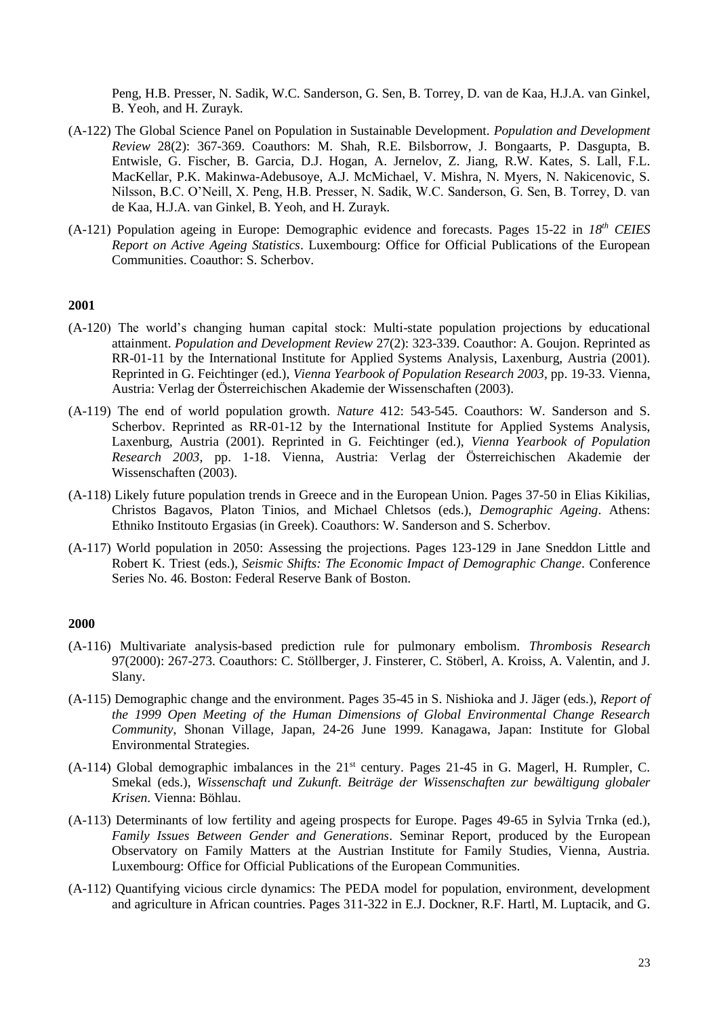Peng, H.B. Presser, N. Sadik, W.C. Sanderson, G. Sen, B. Torrey, D. van de Kaa, H.J.A. van Ginkel, B. Yeoh, and H. Zurayk.

- (A-122) The Global Science Panel on Population in Sustainable Development. *Population and Development Review* 28(2): 367-369. Coauthors: M. Shah, R.E. Bilsborrow, J. Bongaarts, P. Dasgupta, B. Entwisle, G. Fischer, B. Garcia, D.J. Hogan, A. Jernelov, Z. Jiang, R.W. Kates, S. Lall, F.L. MacKellar, P.K. Makinwa-Adebusoye, A.J. McMichael, V. Mishra, N. Myers, N. Nakicenovic, S. Nilsson, B.C. O'Neill, X. Peng, H.B. Presser, N. Sadik, W.C. Sanderson, G. Sen, B. Torrey, D. van de Kaa, H.J.A. van Ginkel, B. Yeoh, and H. Zurayk.
- (A-121) Population ageing in Europe: Demographic evidence and forecasts. Pages 15-22 in *18th CEIES Report on Active Ageing Statistics*. Luxembourg: Office for Official Publications of the European Communities. Coauthor: S. Scherbov.

## **2001**

- (A-120) The world's changing human capital stock: Multi-state population projections by educational attainment. *Population and Development Review* 27(2): 323-339. Coauthor: A. Goujon. Reprinted as RR-01-11 by the International Institute for Applied Systems Analysis, Laxenburg, Austria (2001). Reprinted in G. Feichtinger (ed.), *Vienna Yearbook of Population Research 2003*, pp. 19-33. Vienna, Austria: Verlag der Österreichischen Akademie der Wissenschaften (2003).
- (A-119) The end of world population growth. *Nature* 412: 543-545. Coauthors: W. Sanderson and S. Scherbov. Reprinted as RR-01-12 by the International Institute for Applied Systems Analysis, Laxenburg, Austria (2001). Reprinted in G. Feichtinger (ed.), *Vienna Yearbook of Population Research 2003*, pp. 1-18. Vienna, Austria: Verlag der Österreichischen Akademie der Wissenschaften (2003).
- (A-118) Likely future population trends in Greece and in the European Union. Pages 37-50 in Elias Kikilias, Christos Bagavos, Platon Tinios, and Michael Chletsos (eds.), *Demographic Ageing*. Athens: Ethniko Institouto Ergasias (in Greek). Coauthors: W. Sanderson and S. Scherbov.
- (A-117) World population in 2050: Assessing the projections. Pages 123-129 in Jane Sneddon Little and Robert K. Triest (eds.), *Seismic Shifts: The Economic Impact of Demographic Change*. Conference Series No. 46. Boston: Federal Reserve Bank of Boston.

- (A-116) Multivariate analysis-based prediction rule for pulmonary embolism. *Thrombosis Research* 97(2000): 267-273. Coauthors: C. Stöllberger, J. Finsterer, C. Stöberl, A. Kroiss, A. Valentin, and J. Slany.
- (A-115) Demographic change and the environment. Pages 35-45 in S. Nishioka and J. Jäger (eds.), *Report of the 1999 Open Meeting of the Human Dimensions of Global Environmental Change Research Community*, Shonan Village, Japan, 24-26 June 1999. Kanagawa, Japan: Institute for Global Environmental Strategies.
- (A-114) Global demographic imbalances in the 21st century. Pages 21-45 in G. Magerl, H. Rumpler, C. Smekal (eds.), *Wissenschaft und Zukunft. Beiträge der Wissenschaften zur bewältigung globaler Krisen*. Vienna: Böhlau.
- (A-113) Determinants of low fertility and ageing prospects for Europe. Pages 49-65 in Sylvia Trnka (ed.), *Family Issues Between Gender and Generations*. Seminar Report, produced by the European Observatory on Family Matters at the Austrian Institute for Family Studies, Vienna, Austria. Luxembourg: Office for Official Publications of the European Communities.
- (A-112) Quantifying vicious circle dynamics: The PEDA model for population, environment, development and agriculture in African countries. Pages 311-322 in E.J. Dockner, R.F. Hartl, M. Luptacik, and G.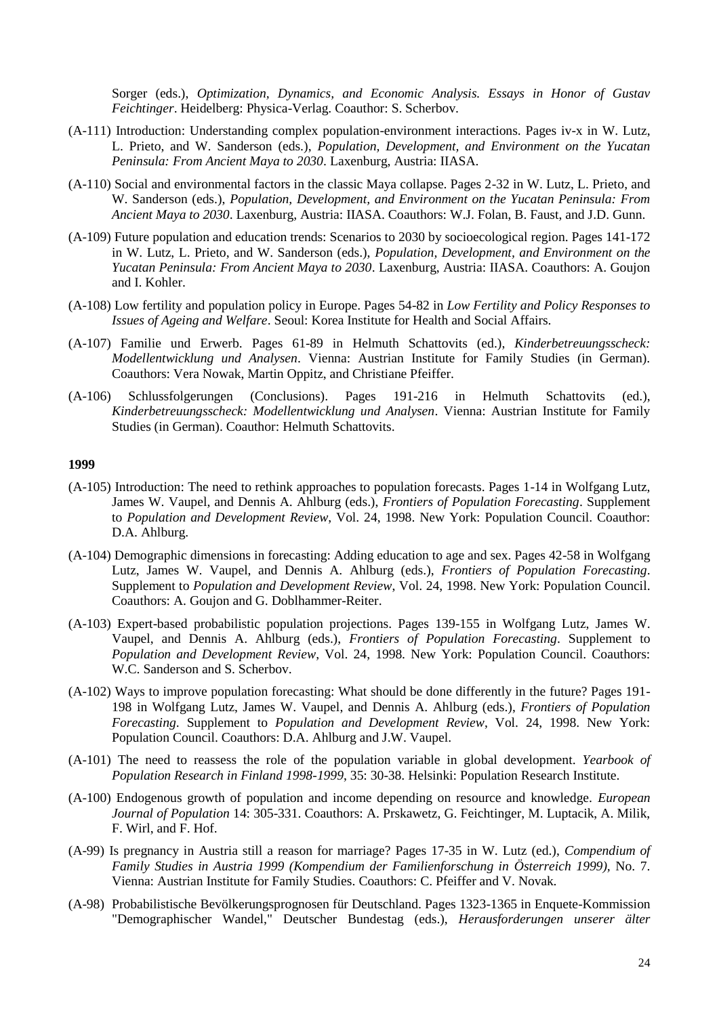Sorger (eds.), *Optimization, Dynamics, and Economic Analysis. Essays in Honor of Gustav Feichtinger*. Heidelberg: Physica-Verlag. Coauthor: S. Scherbov.

- (A-111) Introduction: Understanding complex population-environment interactions. Pages iv-x in W. Lutz, L. Prieto, and W. Sanderson (eds.), *Population, Development, and Environment on the Yucatan Peninsula: From Ancient Maya to 2030*. Laxenburg, Austria: IIASA.
- (A-110) Social and environmental factors in the classic Maya collapse. Pages 2-32 in W. Lutz, L. Prieto, and W. Sanderson (eds.), *Population, Development, and Environment on the Yucatan Peninsula: From Ancient Maya to 2030*. Laxenburg, Austria: IIASA. Coauthors: W.J. Folan, B. Faust, and J.D. Gunn.
- (A-109) Future population and education trends: Scenarios to 2030 by socioecological region. Pages 141-172 in W. Lutz, L. Prieto, and W. Sanderson (eds.), *Population, Development, and Environment on the Yucatan Peninsula: From Ancient Maya to 2030*. Laxenburg, Austria: IIASA. Coauthors: A. Goujon and I. Kohler.
- (A-108) Low fertility and population policy in Europe. Pages 54-82 in *Low Fertility and Policy Responses to Issues of Ageing and Welfare*. Seoul: Korea Institute for Health and Social Affairs.
- (A-107) Familie und Erwerb. Pages 61-89 in Helmuth Schattovits (ed.), *Kinderbetreuungsscheck: Modellentwicklung und Analysen*. Vienna: Austrian Institute for Family Studies (in German). Coauthors: Vera Nowak, Martin Oppitz, and Christiane Pfeiffer.
- (A-106) Schlussfolgerungen (Conclusions). Pages 191-216 in Helmuth Schattovits (ed.), *Kinderbetreuungsscheck: Modellentwicklung und Analysen*. Vienna: Austrian Institute for Family Studies (in German). Coauthor: Helmuth Schattovits.

- (A-105) Introduction: The need to rethink approaches to population forecasts. Pages 1-14 in Wolfgang Lutz, James W. Vaupel, and Dennis A. Ahlburg (eds.), *Frontiers of Population Forecasting*. Supplement to *Population and Development Review*, Vol. 24, 1998. New York: Population Council. Coauthor: D.A. Ahlburg.
- (A-104) Demographic dimensions in forecasting: Adding education to age and sex. Pages 42-58 in Wolfgang Lutz, James W. Vaupel, and Dennis A. Ahlburg (eds.), *Frontiers of Population Forecasting*. Supplement to *Population and Development Review*, Vol. 24, 1998. New York: Population Council. Coauthors: A. Goujon and G. Doblhammer-Reiter.
- (A-103) Expert-based probabilistic population projections. Pages 139-155 in Wolfgang Lutz, James W. Vaupel, and Dennis A. Ahlburg (eds.), *Frontiers of Population Forecasting*. Supplement to *Population and Development Review*, Vol. 24, 1998. New York: Population Council. Coauthors: W.C. Sanderson and S. Scherbov.
- (A-102) Ways to improve population forecasting: What should be done differently in the future? Pages 191- 198 in Wolfgang Lutz, James W. Vaupel, and Dennis A. Ahlburg (eds.), *Frontiers of Population Forecasting*. Supplement to *Population and Development Review*, Vol. 24, 1998. New York: Population Council. Coauthors: D.A. Ahlburg and J.W. Vaupel.
- (A-101) The need to reassess the role of the population variable in global development. *Yearbook of Population Research in Finland 1998-1999*, 35: 30-38. Helsinki: Population Research Institute.
- (A-100) Endogenous growth of population and income depending on resource and knowledge. *European Journal of Population* 14: 305-331. Coauthors: A. Prskawetz, G. Feichtinger, M. Luptacik, A. Milik, F. Wirl, and F. Hof.
- (A-99) Is pregnancy in Austria still a reason for marriage? Pages 17-35 in W. Lutz (ed.), *Compendium of Family Studies in Austria 1999 (Kompendium der Familienforschung in Österreich 1999),* No. 7. Vienna: Austrian Institute for Family Studies. Coauthors: C. Pfeiffer and V. Novak.
- (A-98) Probabilistische Bevölkerungsprognosen für Deutschland. Pages 1323-1365 in Enquete-Kommission "Demographischer Wandel," Deutscher Bundestag (eds.), *Herausforderungen unserer älter*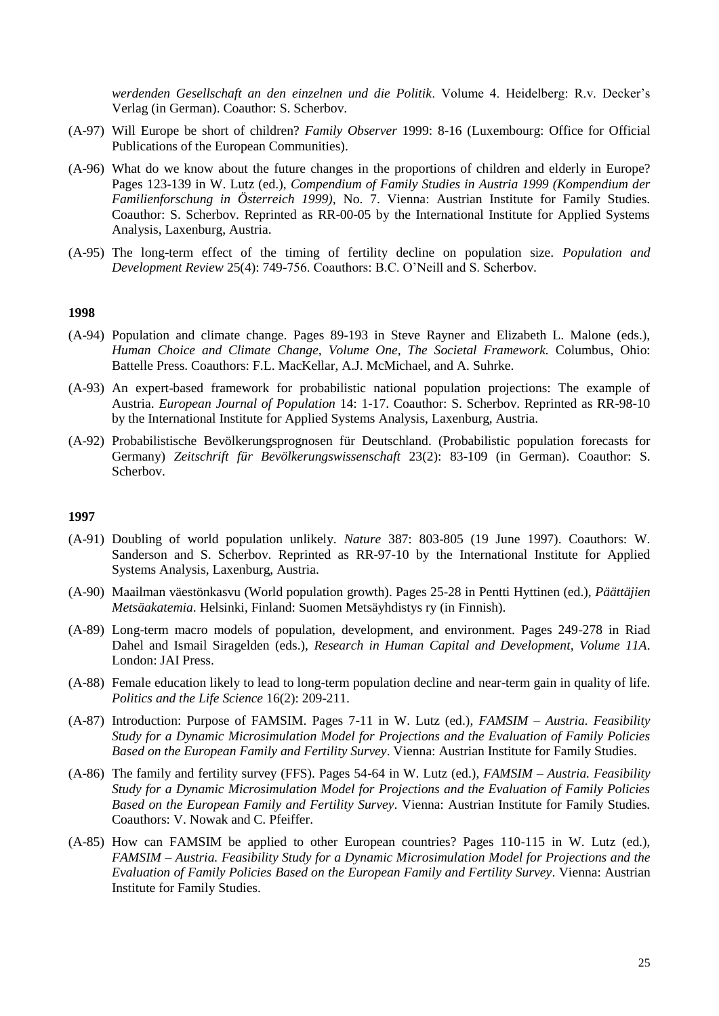*werdenden Gesellschaft an den einzelnen und die Politik*. Volume 4. Heidelberg: R.v. Decker's Verlag (in German). Coauthor: S. Scherbov.

- (A-97) Will Europe be short of children? *Family Observer* 1999: 8-16 (Luxembourg: Office for Official Publications of the European Communities).
- (A-96) What do we know about the future changes in the proportions of children and elderly in Europe? Pages 123-139 in W. Lutz (ed.), *Compendium of Family Studies in Austria 1999 (Kompendium der Familienforschung in Österreich 1999),* No. 7. Vienna: Austrian Institute for Family Studies. Coauthor: S. Scherbov. Reprinted as RR-00-05 by the International Institute for Applied Systems Analysis, Laxenburg, Austria.
- (A-95) The long-term effect of the timing of fertility decline on population size. *Population and Development Review* 25(4): 749-756. Coauthors: B.C. O'Neill and S. Scherbov.

# **1998**

- (A-94) Population and climate change. Pages 89-193 in Steve Rayner and Elizabeth L. Malone (eds.), *Human Choice and Climate Change, Volume One, The Societal Framework.* Columbus, Ohio: Battelle Press. Coauthors: F.L. MacKellar, A.J. McMichael, and A. Suhrke.
- (A-93) An expert-based framework for probabilistic national population projections: The example of Austria. *European Journal of Population* 14: 1-17. Coauthor: S. Scherbov. Reprinted as RR-98-10 by the International Institute for Applied Systems Analysis, Laxenburg, Austria.
- (A-92) Probabilistische Bevölkerungsprognosen für Deutschland. (Probabilistic population forecasts for Germany) *Zeitschrift für Bevölkerungswissenschaft* 23(2): 83-109 (in German). Coauthor: S. Scherbov.

- (A-91) Doubling of world population unlikely. *Nature* 387: 803-805 (19 June 1997). Coauthors: W. Sanderson and S. Scherbov. Reprinted as RR-97-10 by the International Institute for Applied Systems Analysis, Laxenburg, Austria.
- (A-90) Maailman väestönkasvu (World population growth). Pages 25-28 in Pentti Hyttinen (ed.), *Päättäjien Metsäakatemia*. Helsinki, Finland: Suomen Metsäyhdistys ry (in Finnish).
- (A-89) Long-term macro models of population, development, and environment. Pages 249-278 in Riad Dahel and Ismail Siragelden (eds.), *Research in Human Capital and Development, Volume 11A*. London: JAI Press.
- (A-88) Female education likely to lead to long-term population decline and near-term gain in quality of life. *Politics and the Life Science* 16(2): 209-211.
- (A-87) Introduction: Purpose of FAMSIM. Pages 7-11 in W. Lutz (ed.), *FAMSIM – Austria. Feasibility Study for a Dynamic Microsimulation Model for Projections and the Evaluation of Family Policies Based on the European Family and Fertility Survey*. Vienna: Austrian Institute for Family Studies.
- (A-86) The family and fertility survey (FFS). Pages 54-64 in W. Lutz (ed.), *FAMSIM – Austria. Feasibility Study for a Dynamic Microsimulation Model for Projections and the Evaluation of Family Policies Based on the European Family and Fertility Survey*. Vienna: Austrian Institute for Family Studies. Coauthors: V. Nowak and C. Pfeiffer.
- (A-85) How can FAMSIM be applied to other European countries? Pages 110-115 in W. Lutz (ed.), *FAMSIM – Austria. Feasibility Study for a Dynamic Microsimulation Model for Projections and the Evaluation of Family Policies Based on the European Family and Fertility Survey*. Vienna: Austrian Institute for Family Studies.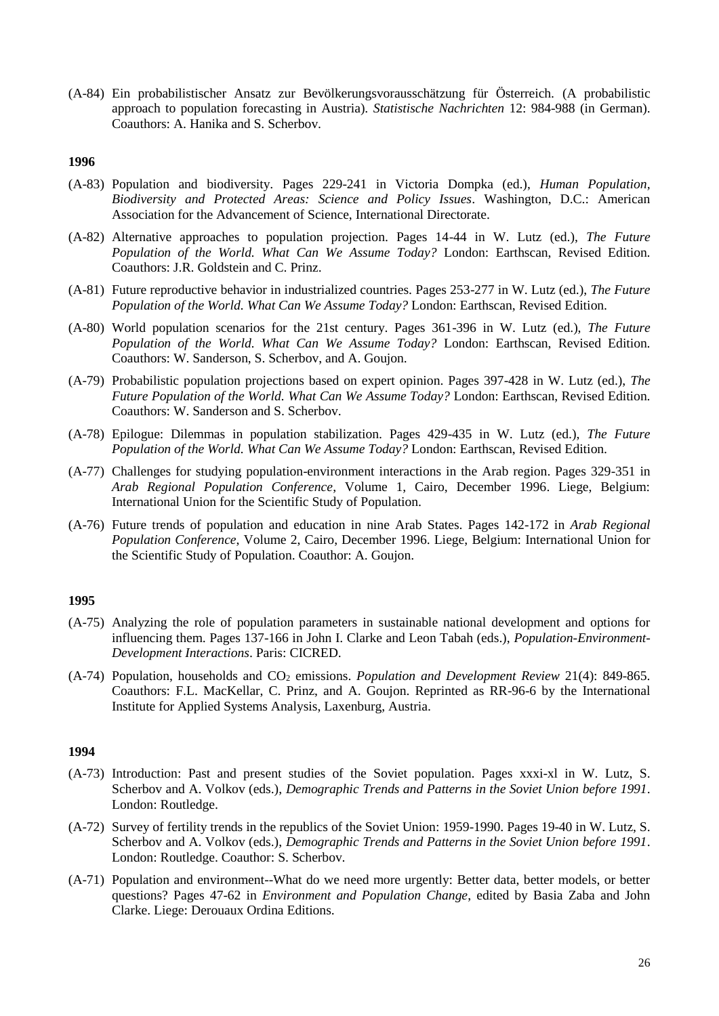(A-84) Ein probabilistischer Ansatz zur Bevölkerungsvorausschätzung für Österreich. (A probabilistic approach to population forecasting in Austria). *Statistische Nachrichten* 12: 984-988 (in German). Coauthors: A. Hanika and S. Scherbov.

# **1996**

- (A-83) Population and biodiversity. Pages 229-241 in Victoria Dompka (ed.), *Human Population, Biodiversity and Protected Areas: Science and Policy Issues*. Washington, D.C.: American Association for the Advancement of Science, International Directorate.
- (A-82) Alternative approaches to population projection. Pages 14-44 in W. Lutz (ed.), *The Future Population of the World. What Can We Assume Today?* London: Earthscan, Revised Edition. Coauthors: J.R. Goldstein and C. Prinz.
- (A-81) Future reproductive behavior in industrialized countries. Pages 253-277 in W. Lutz (ed.), *The Future Population of the World. What Can We Assume Today?* London: Earthscan, Revised Edition.
- (A-80) World population scenarios for the 21st century. Pages 361-396 in W. Lutz (ed.), *The Future Population of the World. What Can We Assume Today?* London: Earthscan, Revised Edition. Coauthors: W. Sanderson, S. Scherbov, and A. Goujon.
- (A-79) Probabilistic population projections based on expert opinion. Pages 397-428 in W. Lutz (ed.), *The Future Population of the World. What Can We Assume Today?* London: Earthscan, Revised Edition. Coauthors: W. Sanderson and S. Scherbov.
- (A-78) Epilogue: Dilemmas in population stabilization. Pages 429-435 in W. Lutz (ed.), *The Future Population of the World. What Can We Assume Today?* London: Earthscan, Revised Edition.
- (A-77) Challenges for studying population-environment interactions in the Arab region. Pages 329-351 in *Arab Regional Population Conference*, Volume 1, Cairo, December 1996. Liege, Belgium: International Union for the Scientific Study of Population.
- (A-76) Future trends of population and education in nine Arab States. Pages 142-172 in *Arab Regional Population Conference*, Volume 2, Cairo, December 1996. Liege, Belgium: International Union for the Scientific Study of Population. Coauthor: A. Goujon.

# **1995**

- (A-75) Analyzing the role of population parameters in sustainable national development and options for influencing them. Pages 137-166 in John I. Clarke and Leon Tabah (eds.), *Population-Environment-Development Interactions*. Paris: CICRED.
- (A-74) Population, households and CO<sup>2</sup> emissions. *Population and Development Review* 21(4): 849-865. Coauthors: F.L. MacKellar, C. Prinz, and A. Goujon. Reprinted as RR-96-6 by the International Institute for Applied Systems Analysis, Laxenburg, Austria.

- (A-73) Introduction: Past and present studies of the Soviet population. Pages xxxi-xl in W. Lutz, S. Scherbov and A. Volkov (eds.), *Demographic Trends and Patterns in the Soviet Union before 1991*. London: Routledge.
- (A-72) Survey of fertility trends in the republics of the Soviet Union: 1959-1990. Pages 19-40 in W. Lutz, S. Scherbov and A. Volkov (eds.), *Demographic Trends and Patterns in the Soviet Union before 1991*. London: Routledge. Coauthor: S. Scherbov.
- (A-71) Population and environment--What do we need more urgently: Better data, better models, or better questions? Pages 47-62 in *Environment and Population Change*, edited by Basia Zaba and John Clarke. Liege: Derouaux Ordina Editions.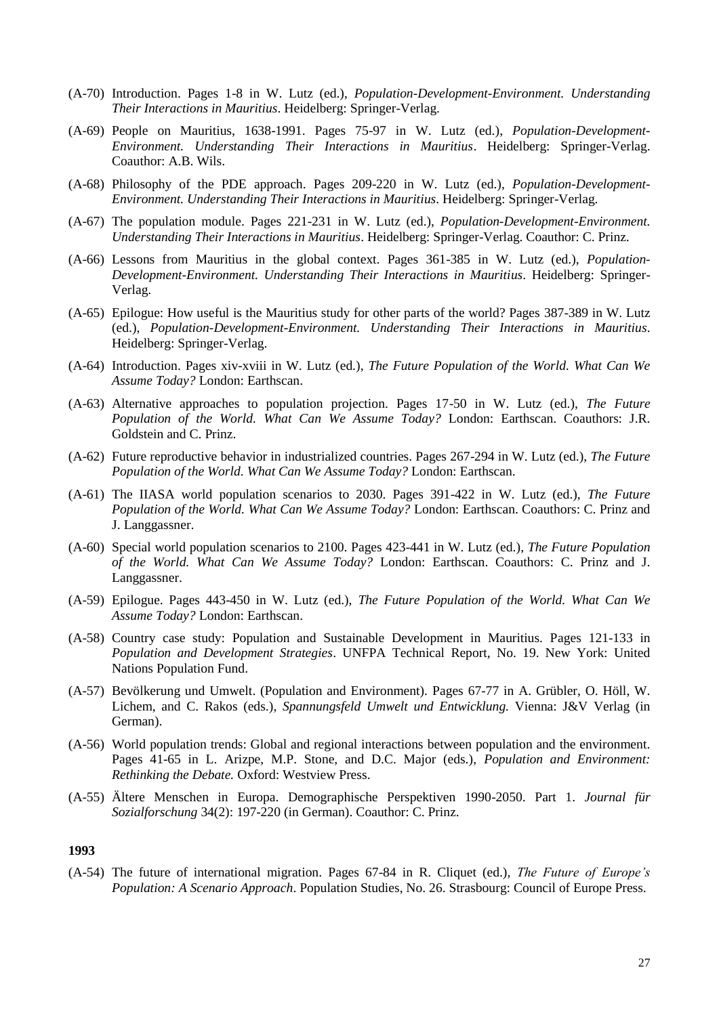- (A-70) Introduction. Pages 1-8 in W. Lutz (ed.), *Population-Development-Environment. Understanding Their Interactions in Mauritius*. Heidelberg: Springer-Verlag.
- (A-69) People on Mauritius, 1638-1991. Pages 75-97 in W. Lutz (ed.), *Population-Development-Environment. Understanding Their Interactions in Mauritius*. Heidelberg: Springer-Verlag. Coauthor: A.B. Wils.
- (A-68) Philosophy of the PDE approach. Pages 209-220 in W. Lutz (ed.), *Population-Development-Environment. Understanding Their Interactions in Mauritius*. Heidelberg: Springer-Verlag.
- (A-67) The population module. Pages 221-231 in W. Lutz (ed.), *Population-Development-Environment. Understanding Their Interactions in Mauritius*. Heidelberg: Springer-Verlag. Coauthor: C. Prinz.
- (A-66) Lessons from Mauritius in the global context. Pages 361-385 in W. Lutz (ed.), *Population-Development-Environment. Understanding Their Interactions in Mauritius*. Heidelberg: Springer-Verlag.
- (A-65) Epilogue: How useful is the Mauritius study for other parts of the world? Pages 387-389 in W. Lutz (ed.), *Population-Development-Environment. Understanding Their Interactions in Mauritius*. Heidelberg: Springer-Verlag.
- (A-64) Introduction. Pages xiv-xviii in W. Lutz (ed.), *The Future Population of the World. What Can We Assume Today?* London: Earthscan.
- (A-63) Alternative approaches to population projection. Pages 17-50 in W. Lutz (ed.), *The Future Population of the World. What Can We Assume Today?* London: Earthscan. Coauthors: J.R. Goldstein and C. Prinz.
- (A-62) Future reproductive behavior in industrialized countries. Pages 267-294 in W. Lutz (ed.), *The Future Population of the World. What Can We Assume Today?* London: Earthscan.
- (A-61) The IIASA world population scenarios to 2030. Pages 391-422 in W. Lutz (ed.), *The Future Population of the World. What Can We Assume Today?* London: Earthscan. Coauthors: C. Prinz and J. Langgassner.
- (A-60) Special world population scenarios to 2100. Pages 423-441 in W. Lutz (ed.), *The Future Population of the World. What Can We Assume Today?* London: Earthscan. Coauthors: C. Prinz and J. Langgassner.
- (A-59) Epilogue. Pages 443-450 in W. Lutz (ed.), *The Future Population of the World. What Can We Assume Today?* London: Earthscan.
- (A-58) Country case study: Population and Sustainable Development in Mauritius. Pages 121-133 in *Population and Development Strategies*. UNFPA Technical Report, No. 19. New York: United Nations Population Fund.
- (A-57) Bevölkerung und Umwelt. (Population and Environment). Pages 67-77 in A. Grübler, O. Höll, W. Lichem, and C. Rakos (eds.), *Spannungsfeld Umwelt und Entwicklung.* Vienna: J&V Verlag (in German).
- (A-56) World population trends: Global and regional interactions between population and the environment. Pages 41-65 in L. Arizpe, M.P. Stone, and D.C. Major (eds.), *Population and Environment: Rethinking the Debate.* Oxford: Westview Press.
- (A-55) Ältere Menschen in Europa. Demographische Perspektiven 1990-2050. Part 1. *Journal für Sozialforschung* 34(2): 197-220 (in German). Coauthor: C. Prinz.

(A-54) The future of international migration. Pages 67-84 in R. Cliquet (ed.), *The Future of Europe's Population: A Scenario Approach*. Population Studies, No. 26. Strasbourg: Council of Europe Press.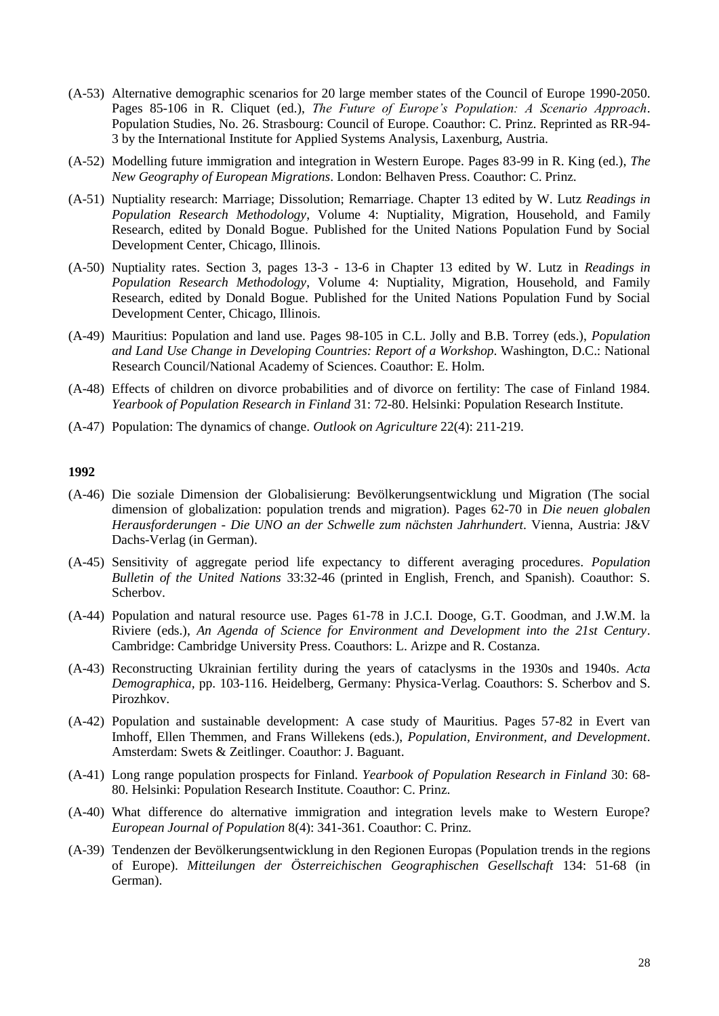- (A-53) Alternative demographic scenarios for 20 large member states of the Council of Europe 1990-2050. Pages 85-106 in R. Cliquet (ed.), *The Future of Europe's Population: A Scenario Approach*. Population Studies, No. 26. Strasbourg: Council of Europe. Coauthor: C. Prinz. Reprinted as RR-94- 3 by the International Institute for Applied Systems Analysis, Laxenburg, Austria.
- (A-52) Modelling future immigration and integration in Western Europe. Pages 83-99 in R. King (ed.), *The New Geography of European Migrations*. London: Belhaven Press. Coauthor: C. Prinz.
- (A-51) Nuptiality research: Marriage; Dissolution; Remarriage. Chapter 13 edited by W. Lutz *Readings in Population Research Methodology*, Volume 4: Nuptiality, Migration, Household, and Family Research, edited by Donald Bogue. Published for the United Nations Population Fund by Social Development Center, Chicago, Illinois.
- (A-50) Nuptiality rates. Section 3, pages 13-3 13-6 in Chapter 13 edited by W. Lutz in *Readings in Population Research Methodology*, Volume 4: Nuptiality, Migration, Household, and Family Research, edited by Donald Bogue. Published for the United Nations Population Fund by Social Development Center, Chicago, Illinois.
- (A-49) Mauritius: Population and land use. Pages 98-105 in C.L. Jolly and B.B. Torrey (eds.), *Population and Land Use Change in Developing Countries: Report of a Workshop*. Washington, D.C.: National Research Council/National Academy of Sciences. Coauthor: E. Holm.
- (A-48) Effects of children on divorce probabilities and of divorce on fertility: The case of Finland 1984. *Yearbook of Population Research in Finland* 31: 72-80. Helsinki: Population Research Institute.
- (A-47) Population: The dynamics of change. *Outlook on Agriculture* 22(4): 211-219.

- (A-46) Die soziale Dimension der Globalisierung: Bevölkerungsentwicklung und Migration (The social dimension of globalization: population trends and migration). Pages 62-70 in *Die neuen globalen Herausforderungen - Die UNO an der Schwelle zum nächsten Jahrhundert*. Vienna, Austria: J&V Dachs-Verlag (in German).
- (A-45) Sensitivity of aggregate period life expectancy to different averaging procedures. *Population Bulletin of the United Nations* 33:32-46 (printed in English, French, and Spanish). Coauthor: S. Scherbov.
- (A-44) Population and natural resource use. Pages 61-78 in J.C.I. Dooge, G.T. Goodman, and J.W.M. la Riviere (eds.), *An Agenda of Science for Environment and Development into the 21st Century*. Cambridge: Cambridge University Press. Coauthors: L. Arizpe and R. Costanza.
- (A-43) Reconstructing Ukrainian fertility during the years of cataclysms in the 1930s and 1940s. *Acta Demographica,* pp. 103-116. Heidelberg, Germany: Physica-Verlag. Coauthors: S. Scherbov and S. Pirozhkov.
- (A-42) Population and sustainable development: A case study of Mauritius. Pages 57-82 in Evert van Imhoff, Ellen Themmen, and Frans Willekens (eds.), *Population, Environment, and Development*. Amsterdam: Swets & Zeitlinger. Coauthor: J. Baguant.
- (A-41) Long range population prospects for Finland. *Yearbook of Population Research in Finland* 30: 68- 80. Helsinki: Population Research Institute. Coauthor: C. Prinz.
- (A-40) What difference do alternative immigration and integration levels make to Western Europe? *European Journal of Population* 8(4): 341-361. Coauthor: C. Prinz.
- (A-39) Tendenzen der Bevölkerungsentwicklung in den Regionen Europas (Population trends in the regions of Europe). *Mitteilungen der Österreichischen Geographischen Gesellschaft* 134: 51-68 (in German).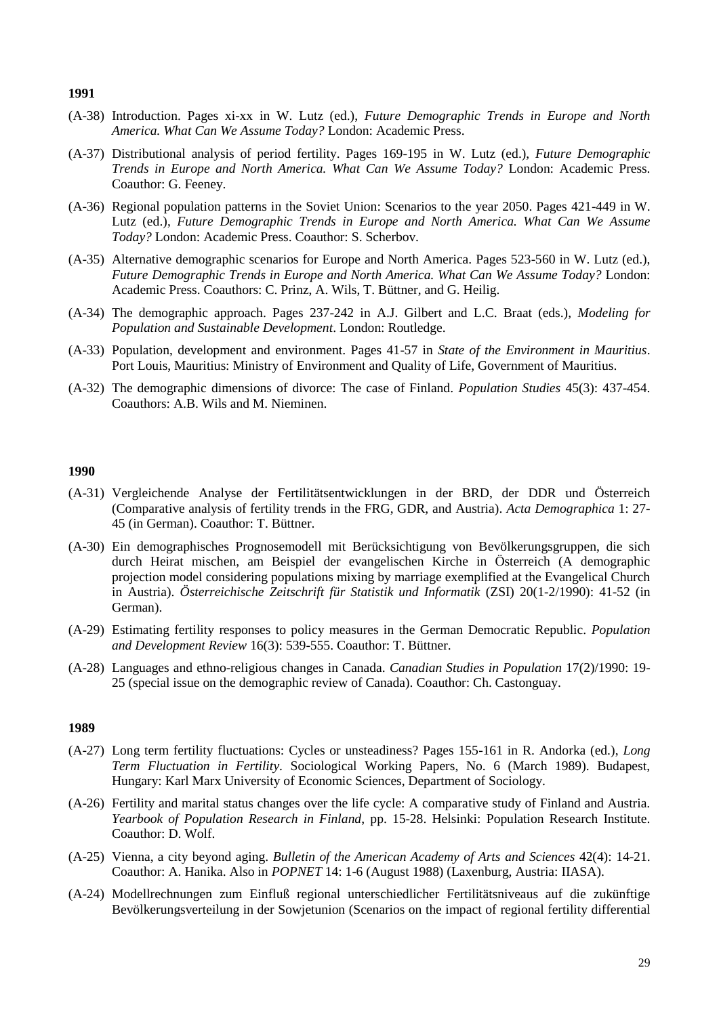- (A-38) Introduction. Pages xi-xx in W. Lutz (ed.), *Future Demographic Trends in Europe and North America. What Can We Assume Today?* London: Academic Press.
- (A-37) Distributional analysis of period fertility. Pages 169-195 in W. Lutz (ed.), *Future Demographic Trends in Europe and North America. What Can We Assume Today?* London: Academic Press. Coauthor: G. Feeney.
- (A-36) Regional population patterns in the Soviet Union: Scenarios to the year 2050. Pages 421-449 in W. Lutz (ed.), *Future Demographic Trends in Europe and North America. What Can We Assume Today?* London: Academic Press. Coauthor: S. Scherbov.
- (A-35) Alternative demographic scenarios for Europe and North America. Pages 523-560 in W. Lutz (ed.), *Future Demographic Trends in Europe and North America. What Can We Assume Today?* London: Academic Press. Coauthors: C. Prinz, A. Wils, T. Büttner, and G. Heilig.
- (A-34) The demographic approach. Pages 237-242 in A.J. Gilbert and L.C. Braat (eds.), *Modeling for Population and Sustainable Development*. London: Routledge.
- (A-33) Population, development and environment. Pages 41-57 in *State of the Environment in Mauritius*. Port Louis, Mauritius: Ministry of Environment and Quality of Life, Government of Mauritius.
- (A-32) The demographic dimensions of divorce: The case of Finland. *Population Studies* 45(3): 437-454. Coauthors: A.B. Wils and M. Nieminen.

### **1990**

- (A-31) Vergleichende Analyse der Fertilitätsentwicklungen in der BRD, der DDR und Österreich (Comparative analysis of fertility trends in the FRG, GDR, and Austria). *Acta Demographica* 1: 27- 45 (in German). Coauthor: T. Büttner.
- (A-30) Ein demographisches Prognosemodell mit Berücksichtigung von Bevölkerungsgruppen, die sich durch Heirat mischen, am Beispiel der evangelischen Kirche in Österreich (A demographic projection model considering populations mixing by marriage exemplified at the Evangelical Church in Austria). *Österreichische Zeitschrift für Statistik und Informatik* (ZSI) 20(1-2/1990): 41-52 (in German).
- (A-29) Estimating fertility responses to policy measures in the German Democratic Republic. *Population and Development Review* 16(3): 539-555. Coauthor: T. Büttner.
- (A-28) Languages and ethno-religious changes in Canada. *Canadian Studies in Population* 17(2)/1990: 19- 25 (special issue on the demographic review of Canada). Coauthor: Ch. Castonguay.

- (A-27) Long term fertility fluctuations: Cycles or unsteadiness? Pages 155-161 in R. Andorka (ed.), *Long Term Fluctuation in Fertility*. Sociological Working Papers, No. 6 (March 1989). Budapest, Hungary: Karl Marx University of Economic Sciences, Department of Sociology.
- (A-26) Fertility and marital status changes over the life cycle: A comparative study of Finland and Austria. *Yearbook of Population Research in Finland*, pp. 15-28. Helsinki: Population Research Institute. Coauthor: D. Wolf.
- (A-25) Vienna, a city beyond aging. *Bulletin of the American Academy of Arts and Sciences* 42(4): 14-21. Coauthor: A. Hanika. Also in *POPNET* 14: 1-6 (August 1988) (Laxenburg, Austria: IIASA).
- (A-24) Modellrechnungen zum Einfluß regional unterschiedlicher Fertilitätsniveaus auf die zukünftige Bevölkerungsverteilung in der Sowjetunion (Scenarios on the impact of regional fertility differential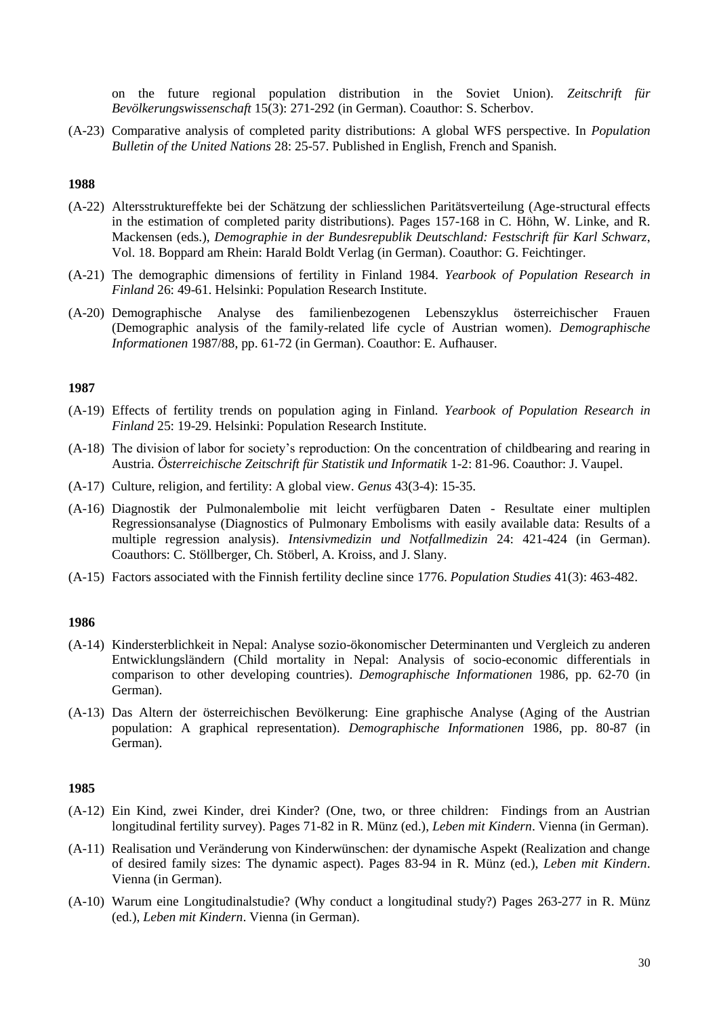on the future regional population distribution in the Soviet Union). *Zeitschrift für Bevölkerungswissenschaft* 15(3): 271-292 (in German). Coauthor: S. Scherbov.

(A-23) Comparative analysis of completed parity distributions: A global WFS perspective. In *Population Bulletin of the United Nations* 28: 25-57. Published in English, French and Spanish.

## **1988**

- (A-22) Altersstruktureffekte bei der Schätzung der schliesslichen Paritätsverteilung (Age-structural effects in the estimation of completed parity distributions). Pages 157-168 in C. Höhn, W. Linke, and R. Mackensen (eds.), *Demographie in der Bundesrepublik Deutschland: Festschrift für Karl Schwarz*, Vol. 18. Boppard am Rhein: Harald Boldt Verlag (in German). Coauthor: G. Feichtinger.
- (A-21) The demographic dimensions of fertility in Finland 1984. *Yearbook of Population Research in Finland* 26: 49-61. Helsinki: Population Research Institute.
- (A-20) Demographische Analyse des familienbezogenen Lebenszyklus österreichischer Frauen (Demographic analysis of the family-related life cycle of Austrian women). *Demographische Informationen* 1987/88, pp. 61-72 (in German). Coauthor: E. Aufhauser.

## **1987**

- (A-19) Effects of fertility trends on population aging in Finland. *Yearbook of Population Research in Finland* 25: 19-29. Helsinki: Population Research Institute.
- (A-18) The division of labor for society's reproduction: On the concentration of childbearing and rearing in Austria. *Österreichische Zeitschrift für Statistik und Informatik* 1-2: 81-96. Coauthor: J. Vaupel.
- (A-17) Culture, religion, and fertility: A global view. *Genus* 43(3-4): 15-35.
- (A-16) Diagnostik der Pulmonalembolie mit leicht verfügbaren Daten Resultate einer multiplen Regressionsanalyse (Diagnostics of Pulmonary Embolisms with easily available data: Results of a multiple regression analysis). *Intensivmedizin und Notfallmedizin* 24: 421-424 (in German). Coauthors: C. Stöllberger, Ch. Stöberl, A. Kroiss, and J. Slany.
- (A-15) Factors associated with the Finnish fertility decline since 1776. *Population Studies* 41(3): 463-482.

## **1986**

- (A-14) Kindersterblichkeit in Nepal: Analyse sozio-ökonomischer Determinanten und Vergleich zu anderen Entwicklungsländern (Child mortality in Nepal: Analysis of socio-economic differentials in comparison to other developing countries). *Demographische Informationen* 1986, pp. 62-70 (in German).
- (A-13) Das Altern der österreichischen Bevölkerung: Eine graphische Analyse (Aging of the Austrian population: A graphical representation). *Demographische Informationen* 1986, pp. 80-87 (in German).

- (A-12) Ein Kind, zwei Kinder, drei Kinder? (One, two, or three children: Findings from an Austrian longitudinal fertility survey). Pages 71-82 in R. Münz (ed.), *Leben mit Kindern*. Vienna (in German).
- (A-11) Realisation und Veränderung von Kinderwünschen: der dynamische Aspekt (Realization and change of desired family sizes: The dynamic aspect). Pages 83-94 in R. Münz (ed.), *Leben mit Kindern*. Vienna (in German).
- (A-10) Warum eine Longitudinalstudie? (Why conduct a longitudinal study?) Pages 263-277 in R. Münz (ed.), *Leben mit Kindern*. Vienna (in German).